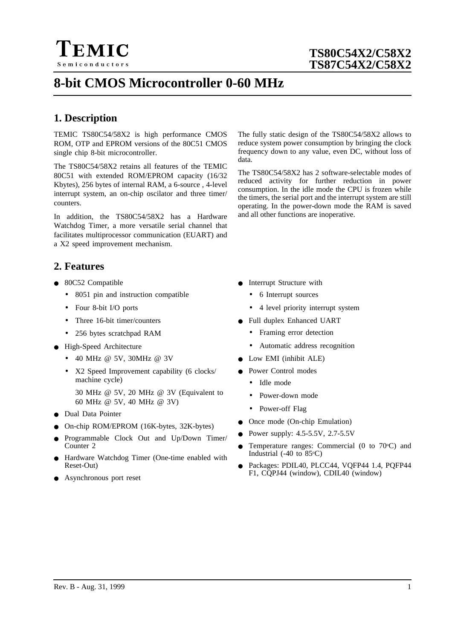

# **8-bit CMOS Microcontroller 0-60 MHz**

## **1. Description**

TEMIC TS80C54/58X2 is high performance CMOS ROM, OTP and EPROM versions of the 80C51 CMOS single chip 8-bit microcontroller.

The TS80C54/58X2 retains all features of the TEMIC 80C51 with extended ROM/EPROM capacity (16/32 Kbytes), 256 bytes of internal RAM, a 6-source , 4-level interrupt system, an on-chip oscilator and three timer/ counters.

In addition, the TS80C54/58X2 has a Hardware Watchdog Timer, a more versatile serial channel that facilitates multiprocessor communication (EUART) and a X2 speed improvement mechanism.

## **2. Features**

- 80C52 Compatible
	- 8051 pin and instruction compatible
	- Four 8-bit I/O ports
	- Three 16-bit timer/counters
	- 256 bytes scratchpad RAM
- High-Speed Architecture
	- 40 MHz @ 5V, 30MHz @ 3V
	- X2 Speed Improvement capability (6 clocks/ machine cycle)
		- 30 MHz @ 5V, 20 MHz @ 3V (Equivalent to 60 MHz @ 5V, 40 MHz @ 3V)
- Dual Data Pointer
- On-chip ROM/EPROM (16K-bytes, 32K-bytes)
- Programmable Clock Out and Up/Down Timer/ Counter 2
- Hardware Watchdog Timer (One-time enabled with Reset-Out)
- Asynchronous port reset

The fully static design of the TS80C54/58X2 allows to reduce system power consumption by bringing the clock frequency down to any value, even DC, without loss of data.

The TS80C54/58X2 has 2 software-selectable modes of reduced activity for further reduction in power consumption. In the idle mode the CPU is frozen while the timers, the serial port and the interrupt system are still operating. In the power-down mode the RAM is saved and all other functions are inoperative.

- **•** Interrupt Structure with
	- 6 Interrupt sources
	- 4 level priority interrupt system
- Full duplex Enhanced UART
	- Framing error detection
	- Automatic address recognition
- Low EMI (inhibit ALE)
- Power Control modes
	- Idle mode
	- Power-down mode
	- Power-off Flag
- Once mode (On-chip Emulation)
- Power supply: 4.5-5.5V, 2.7-5.5V
- Temperature ranges: Commercial (0 to  $70^{\circ}$ C) and Industrial  $(-40 \text{ to } 85^{\circ}\text{C})$
- Packages: PDIL40, PLCC44, VQFP44 1.4, PQFP44 F1, CQPJ44 (window), CDIL40 (window)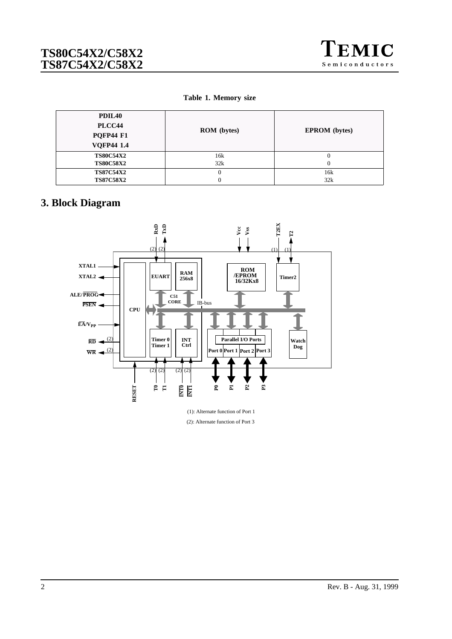

#### **Table 1. Memory size**

| PDIL <sub>40</sub><br>PLCC44<br><b>PQFP44 F1</b>          | <b>ROM</b> (bytes) | <b>EPROM</b> (bytes) |
|-----------------------------------------------------------|--------------------|----------------------|
| <b>VQFP44 1.4</b><br><b>TS80C54X2</b><br><b>TS80C58X2</b> | 16k<br>32k         | 0<br>0               |
| <b>TS87C54X2</b><br><b>TS87C58X2</b>                      |                    | 16k<br>32k           |

# **3. Block Diagram**



(1): Alternate function of Port 1 (2): Alternate function of Port 3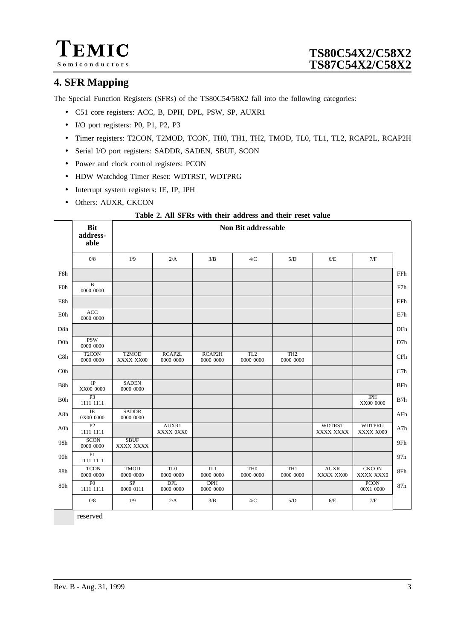

# **4. SFR Mapping**

The Special Function Registers (SFRs) of the TS80C54/58X2 fall into the following categories:

- C51 core registers: ACC, B, DPH, DPL, PSW, SP, AUXR1
- I/O port registers: P0, P1, P2, P3
- Timer registers: T2CON, T2MOD, TCON, TH0, TH1, TH2, TMOD, TL0, TL1, TL2, RCAP2L, RCAP2H
- Serial I/O port registers: SADDR, SADEN, SBUF, SCON
- Power and clock control registers: PCON
- HDW Watchdog Timer Reset: WDTRST, WDTPRG
- Interrupt system registers: IE, IP, IPH
- Others: AUXR, CKCON

#### **Table 2. All SFRs with their address and their reset value**

|                  | <b>Bit</b><br>address-<br>able  |                                 |                              |                         | <b>Non Bit addressable</b>   |                              |                            |                            |     |
|------------------|---------------------------------|---------------------------------|------------------------------|-------------------------|------------------------------|------------------------------|----------------------------|----------------------------|-----|
|                  | 0/8                             | 1/9                             | 2/A                          | 3/B                     | 4/C                          | 5/D                          | 6/E                        | 7/F                        |     |
| F8h              |                                 |                                 |                              |                         |                              |                              |                            |                            | FFh |
| F0h              | $\, {\bf B}$<br>0000 0000       |                                 |                              |                         |                              |                              |                            |                            | F7h |
| E8h              |                                 |                                 |                              |                         |                              |                              |                            |                            | EFh |
| E0h              | ACC<br>0000 0000                |                                 |                              |                         |                              |                              |                            |                            | E7h |
| D <sub>8h</sub>  |                                 |                                 |                              |                         |                              |                              |                            |                            | DFh |
| D <sub>0</sub> h | <b>PSW</b><br>0000 0000         |                                 |                              |                         |                              |                              |                            |                            | D7h |
| C8h              | T <sub>2</sub> CON<br>0000 0000 | T <sub>2</sub> MOD<br>XXXX XX00 | RCAP2L<br>0000 0000          | RCAP2H<br>0000 0000     | TL <sub>2</sub><br>0000 0000 | TH2<br>0000 0000             |                            |                            | CFh |
| C <sub>0</sub>   |                                 |                                 |                              |                         |                              |                              |                            |                            | C7h |
| B8h              | $_{\rm IP}$<br>XX00 0000        | <b>SADEN</b><br>0000 0000       |                              |                         |                              |                              |                            |                            | BFh |
| <b>B0h</b>       | P <sub>3</sub><br>1111 1111     |                                 |                              |                         |                              |                              |                            | <b>IPH</b><br>XX00 0000    | B7h |
| A8h              | $\rm I\!E$<br>0X00 0000         | <b>SADDR</b><br>0000 0000       |                              |                         |                              |                              |                            |                            | AFh |
| A0h              | $\overline{P2}$<br>1111 1111    |                                 | AUXR1<br>XXXX 0XX0           |                         |                              |                              | <b>WDTRST</b><br>XXXX XXXX | <b>WDTPRG</b><br>XXXX X000 | A7h |
| 98h              | <b>SCON</b><br>0000 0000        | <b>SBUF</b><br>XXXX XXXX        |                              |                         |                              |                              |                            |                            | 9Fh |
| 90h              | P1<br>1111 1111                 |                                 |                              |                         |                              |                              |                            |                            | 97h |
| 88h              | <b>TCON</b><br>0000 0000        | <b>TMOD</b><br>0000 0000        | TL <sub>0</sub><br>0000 0000 | TL1<br>0000 0000        | TH <sub>0</sub><br>0000 0000 | TH <sub>1</sub><br>0000 0000 | <b>AUXR</b><br>XXXX XX00   | <b>CKCON</b><br>XXXX XXX0  | 8Fh |
| 80h              | P <sub>0</sub><br>1111 1111     | $\overline{SP}$<br>0000 0111    | <b>DPL</b><br>0000 0000      | <b>DPH</b><br>0000 0000 |                              |                              |                            | <b>PCON</b><br>00X1 0000   | 87h |
|                  | 0/8                             | 1/9                             | 2/A                          | 3/B                     | 4/C                          | 5/D                          | 6/E                        | 7/F                        |     |

reserved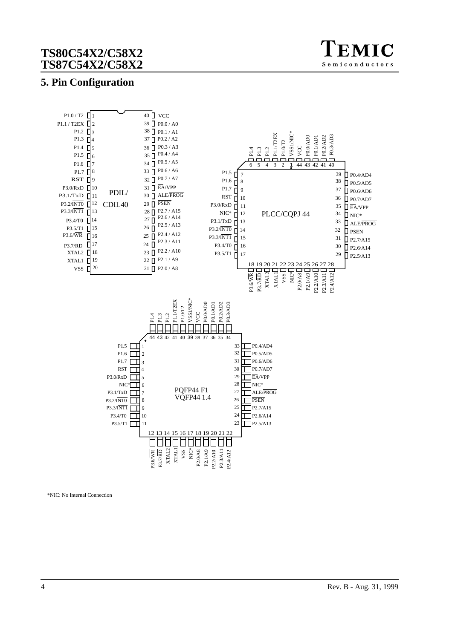

## **5. Pin Configuration**



\*NIC: No Internal Connection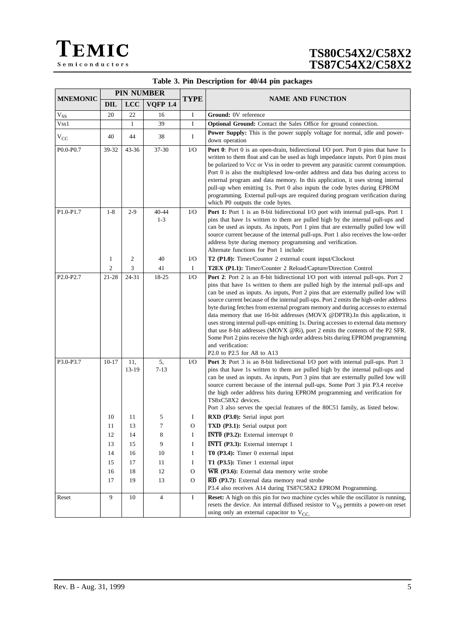| Table 3. Pin Description for 40/44 pin packages |  |  |
|-------------------------------------------------|--|--|
|-------------------------------------------------|--|--|

|                 |                                                           |                                                              | <b>PIN NUMBER</b>                                          |                                                                                                 |                                                                                                                                                                                                                                                                                                                                                                                                                                                                                                                                                                                                                                                                                                                                                                                                                                                                                                                              |  |
|-----------------|-----------------------------------------------------------|--------------------------------------------------------------|------------------------------------------------------------|-------------------------------------------------------------------------------------------------|------------------------------------------------------------------------------------------------------------------------------------------------------------------------------------------------------------------------------------------------------------------------------------------------------------------------------------------------------------------------------------------------------------------------------------------------------------------------------------------------------------------------------------------------------------------------------------------------------------------------------------------------------------------------------------------------------------------------------------------------------------------------------------------------------------------------------------------------------------------------------------------------------------------------------|--|
| <b>MNEMONIC</b> | <b>DIL</b>                                                | <b>LCC</b>                                                   | <b>VOFP 1.4</b>                                            | <b>TYPE</b>                                                                                     | <b>NAME AND FUNCTION</b>                                                                                                                                                                                                                                                                                                                                                                                                                                                                                                                                                                                                                                                                                                                                                                                                                                                                                                     |  |
| $V_{SS}$        | 20                                                        | 22                                                           | 16                                                         | I                                                                                               | Ground: 0V reference                                                                                                                                                                                                                                                                                                                                                                                                                                                                                                                                                                                                                                                                                                                                                                                                                                                                                                         |  |
| Vss1            |                                                           | $\mathbf{1}$                                                 | 39                                                         | $\mathbf I$                                                                                     | Optional Ground: Contact the Sales Office for ground connection.                                                                                                                                                                                                                                                                                                                                                                                                                                                                                                                                                                                                                                                                                                                                                                                                                                                             |  |
| $V_{CC}$        | 40                                                        | 44                                                           | 38                                                         | $\bf{I}$                                                                                        | Power Supply: This is the power supply voltage for normal, idle and power-<br>down operation                                                                                                                                                                                                                                                                                                                                                                                                                                                                                                                                                                                                                                                                                                                                                                                                                                 |  |
| P0.0-P0.7       | 39-32                                                     | 43-36                                                        | 37-30                                                      | $\rm LO$                                                                                        | <b>Port 0</b> : Port 0 is an open-drain, bidirectional I/O port. Port 0 pins that have 1s<br>written to them float and can be used as high impedance inputs. Port 0 pins must<br>be polarized to Vcc or Vss in order to prevent any parasitic current consumption.<br>Port 0 is also the multiplexed low-order address and data bus during access to<br>external program and data memory. In this application, it uses strong internal<br>pull-up when emitting 1s. Port 0 also inputs the code bytes during EPROM<br>programming. External pull-ups are required during program verification during<br>which P0 outputs the code bytes.                                                                                                                                                                                                                                                                                     |  |
| P1.0-P1.7       | $1 - 8$                                                   | $2 - 9$                                                      | $40 - 44$<br>$1 - 3$                                       | $\rm LO$                                                                                        | Port 1: Port 1 is an 8-bit bidirectional I/O port with internal pull-ups. Port 1<br>pins that have 1s written to them are pulled high by the internal pull-ups and<br>can be used as inputs. As inputs, Port 1 pins that are externally pulled low will<br>source current because of the internal pull-ups. Port 1 also receives the low-order<br>address byte during memory programming and verification.<br>Alternate functions for Port 1 include:                                                                                                                                                                                                                                                                                                                                                                                                                                                                        |  |
|                 | 1                                                         | $\overline{2}$                                               | 40                                                         | $\rm LO$                                                                                        | T2 (P1.0): Timer/Counter 2 external count input/Clockout                                                                                                                                                                                                                                                                                                                                                                                                                                                                                                                                                                                                                                                                                                                                                                                                                                                                     |  |
|                 | $\overline{2}$                                            | 3                                                            | 41                                                         | $\bf{I}$                                                                                        | T2EX (P1.1): Timer/Counter 2 Reload/Capture/Direction Control                                                                                                                                                                                                                                                                                                                                                                                                                                                                                                                                                                                                                                                                                                                                                                                                                                                                |  |
| $P2.0-P2.7$     | 21-28                                                     | 24-31                                                        | 18-25                                                      | $\rm LO$                                                                                        | Port 2: Port 2 is an 8-bit bidirectional I/O port with internal pull-ups. Port 2<br>pins that have 1s written to them are pulled high by the internal pull-ups and<br>can be used as inputs. As inputs, Port 2 pins that are externally pulled low will<br>source current because of the internal pull-ups. Port 2 emits the high-order address<br>byte during fetches from external program memory and during accesses to external<br>data memory that use 16-bit addresses (MOVX @DPTR).In this application, it<br>uses strong internal pull-ups emitting 1s. During accesses to external data memory<br>that use 8-bit addresses (MOVX @Ri), port 2 emits the contents of the P2 SFR.<br>Some Port 2 pins receive the high order address bits during EPROM programming<br>and verification:<br>P2.0 to P2.5 for A8 to A13                                                                                                 |  |
| P3.0-P3.7       | $10 - 17$<br>10<br>11<br>12<br>13<br>14<br>15<br>16<br>17 | 11,<br>13-19<br>11<br>13<br>14<br>15<br>16<br>17<br>18<br>19 | 5,<br>$7 - 13$<br>5<br>7<br>8<br>9<br>10<br>11<br>12<br>13 | $\rm LO$<br>I<br>$\mathcal{O}$<br>I<br>$\bf I$<br>$\bf{I}$<br>I<br>$\mathbf{O}$<br>$\mathbf{O}$ | Port 3: Port 3 is an 8-bit bidirectional I/O port with internal pull-ups. Port 3<br>pins that have 1s written to them are pulled high by the internal pull-ups and<br>can be used as inputs. As inputs, Port 3 pins that are externally pulled low will<br>source current because of the internal pull-ups. Some Port 3 pin P3.4 receive<br>the high order address bits during EPROM programming and verification for<br>TS8xC58X2 devices.<br>Port 3 also serves the special features of the 80C51 family, as listed below.<br><b>RXD</b> (P3.0): Serial input port<br>TXD (P3.1): Serial output port<br>$\overline{\text{INT0}}$ (P3.2): External interrupt 0<br><b>INT1</b> (P3.3): External interrupt 1<br>T0 (P3.4): Timer 0 external input<br>T1 (P3.5): Timer 1 external input<br>$\overline{\text{WR}}$ (P3.6): External data memory write strobe<br>$\overline{\text{RD}}$ (P3.7): External data memory read strobe |  |
| Reset           | 9                                                         | 10                                                           | 4                                                          | I                                                                                               | P3.4 also receives A14 during TS87C58X2 EPROM Programming.<br><b>Reset:</b> A high on this pin for two machine cycles while the oscillator is running,                                                                                                                                                                                                                                                                                                                                                                                                                                                                                                                                                                                                                                                                                                                                                                       |  |
|                 |                                                           |                                                              |                                                            |                                                                                                 | resets the device. An internal diffused resistor to V <sub>SS</sub> permits a power-on reset<br>using only an external capacitor to $V_{CC}$ .                                                                                                                                                                                                                                                                                                                                                                                                                                                                                                                                                                                                                                                                                                                                                                               |  |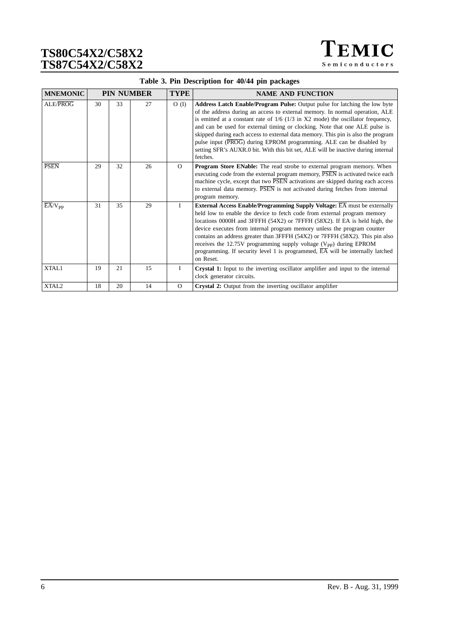TEMIC Semiconductors

| <b>MNEMONIC</b>        |    |    | <b>PIN NUMBER</b> | <b>TYPE</b>  | <b>NAME AND FUNCTION</b>                                                                                                                                                                                                                                                                                                                                                                                                                                                                                                                                                                             |
|------------------------|----|----|-------------------|--------------|------------------------------------------------------------------------------------------------------------------------------------------------------------------------------------------------------------------------------------------------------------------------------------------------------------------------------------------------------------------------------------------------------------------------------------------------------------------------------------------------------------------------------------------------------------------------------------------------------|
| ALE/PROG               | 30 | 33 | 27                | $O$ (I)      | <b>Address Latch Enable/Program Pulse:</b> Output pulse for latching the low byte<br>of the address during an access to external memory. In normal operation, ALE<br>is emitted at a constant rate of $1/6$ ( $1/3$ in X2 mode) the oscillator frequency,<br>and can be used for external timing or clocking. Note that one ALE pulse is<br>skipped during each access to external data memory. This pin is also the program<br>pulse input (PROG) during EPROM programming. ALE can be disabled by<br>setting SFR's AUXR.0 bit. With this bit set, ALE will be inactive during internal<br>fetches. |
| <b>PSEN</b>            | 29 | 32 | 26                | $\Omega$     | <b>Program Store ENable:</b> The read strobe to external program memory. When<br>executing code from the external program memory, PSEN is activated twice each<br>machine cycle, except that two PSEN activations are skipped during each access<br>to external data memory. PSEN is not activated during fetches from internal<br>program memory.                                                                                                                                                                                                                                                   |
| $E\overline{A}/V_{PP}$ | 31 | 35 | 29                | $\mathbf{I}$ | External Access Enable/Programming Supply Voltage: EA must be externally<br>held low to enable the device to fetch code from external program memory<br>locations 0000H and 3FFFH (54X2) or 7FFFH (58X2). If EA is held high, the<br>device executes from internal program memory unless the program counter<br>contains an address greater than 3FFFH (54X2) or 7FFFH (58X2). This pin also<br>receives the $12.75V$ programming supply voltage ( $V_{\rm pp}$ ) during EPROM<br>programming. If security level 1 is programmed, $\overline{EA}$ will be internally latched<br>on Reset.            |
| XTAL1                  | 19 | 21 | 15                | $\mathbf{I}$ | Crystal 1: Input to the inverting oscillator amplifier and input to the internal<br>clock generator circuits.                                                                                                                                                                                                                                                                                                                                                                                                                                                                                        |
| XTAL <sub>2</sub>      | 18 | 20 | 14                | $\Omega$     | Crystal 2: Output from the inverting oscillator amplifier                                                                                                                                                                                                                                                                                                                                                                                                                                                                                                                                            |

## **Table 3. Pin Description for 40/44 pin packages**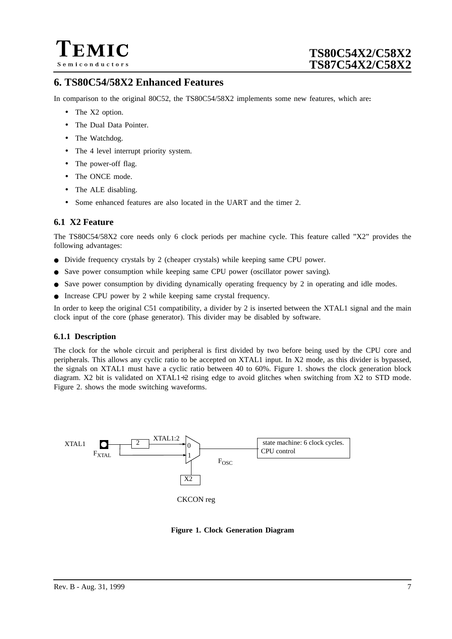

## **6. TS80C54/58X2 Enhanced Features**

In comparison to the original 80C52, the TS80C54/58X2 implements some new features, which are**:**

- The X2 option.
- The Dual Data Pointer.
- The Watchdog.
- The 4 level interrupt priority system.
- The power-off flag.
- The ONCE mode.
- The ALE disabling.
- Some enhanced features are also located in the UART and the timer 2.

### **6.1 X2 Feature**

The TS80C54/58X2 core needs only 6 clock periods per machine cycle. This feature called "X2" provides the following advantages:

- Divide frequency crystals by 2 (cheaper crystals) while keeping same CPU power.
- Save power consumption while keeping same CPU power (oscillator power saving).
- Save power consumption by dividing dynamically operating frequency by 2 in operating and idle modes.
- Increase CPU power by 2 while keeping same crystal frequency.

In order to keep the original C51 compatibility, a divider by 2 is inserted between the XTAL1 signal and the main clock input of the core (phase generator). This divider may be disabled by software.

#### **6.1.1 Description**

The clock for the whole circuit and peripheral is first divided by two before being used by the CPU core and peripherals. This allows any cyclic ratio to be accepted on XTAL1 input. In X2 mode, as this divider is bypassed, the signals on XTAL1 must have a cyclic ratio between 40 to 60%. Figure 1. shows the clock generation block diagram. X2 bit is validated on XTAL1÷2 rising edge to avoid glitches when switching from X2 to STD mode. [Figure 2.](#page-7-0) shows the mode switching waveforms.



**Figure 1. Clock Generation Diagram**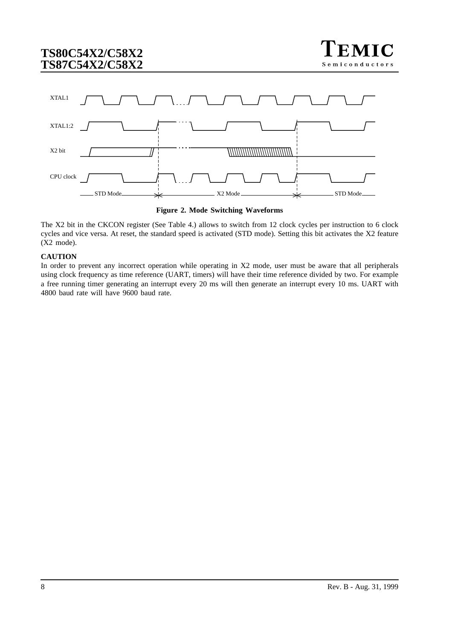

<span id="page-7-0"></span>



The X2 bit in the CKCON register ([See Table 4.](#page-8-0)) allows to switch from 12 clock cycles per instruction to 6 clock cycles and vice versa. At reset, the standard speed is activated (STD mode). Setting this bit activates the X2 feature (X2 mode).

### **CAUTION**

In order to prevent any incorrect operation while operating in X2 mode, user must be aware that all peripherals using clock frequency as time reference (UART, timers) will have their time reference divided by two. For example a free running timer generating an interrupt every 20 ms will then generate an interrupt every 10 ms. UART with 4800 baud rate will have 9600 baud rate.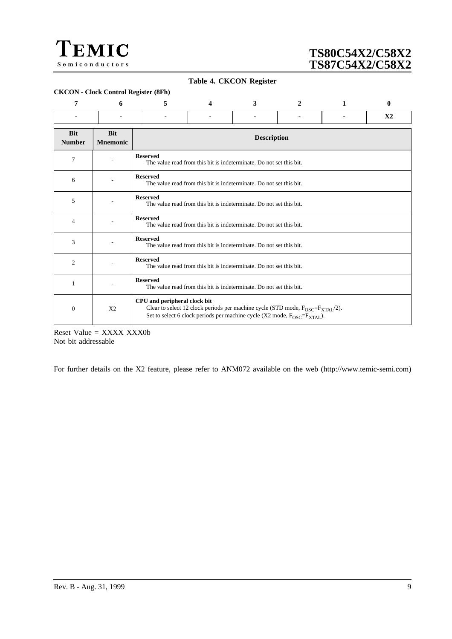<span id="page-8-0"></span>

#### **Table 4. CKCON Register**

|                             | <b>CKCON</b> - Clock Control Register (8Fh) |                                                                                                                                                                                                                              |                                                                     |  |  |  |                |  |  |
|-----------------------------|---------------------------------------------|------------------------------------------------------------------------------------------------------------------------------------------------------------------------------------------------------------------------------|---------------------------------------------------------------------|--|--|--|----------------|--|--|
| 7                           | 6                                           | 5                                                                                                                                                                                                                            | 3<br>$\mathbf{0}$<br>$\mathbf{2}$<br>$\mathbf{1}$<br>4              |  |  |  |                |  |  |
|                             |                                             |                                                                                                                                                                                                                              |                                                                     |  |  |  | X <sub>2</sub> |  |  |
| <b>Bit</b><br><b>Number</b> | <b>Bit</b><br><b>Mnemonic</b>               |                                                                                                                                                                                                                              | <b>Description</b>                                                  |  |  |  |                |  |  |
| 7                           |                                             | <b>Reserved</b>                                                                                                                                                                                                              | The value read from this bit is indeterminate. Do not set this bit. |  |  |  |                |  |  |
| 6                           |                                             | <b>Reserved</b>                                                                                                                                                                                                              | The value read from this bit is indeterminate. Do not set this bit. |  |  |  |                |  |  |
| 5                           |                                             | <b>Reserved</b>                                                                                                                                                                                                              | The value read from this bit is indeterminate. Do not set this bit. |  |  |  |                |  |  |
| $\overline{4}$              |                                             | <b>Reserved</b>                                                                                                                                                                                                              | The value read from this bit is indeterminate. Do not set this bit. |  |  |  |                |  |  |
| 3                           |                                             | <b>Reserved</b>                                                                                                                                                                                                              | The value read from this bit is indeterminate. Do not set this bit. |  |  |  |                |  |  |
| $\overline{c}$              |                                             | <b>Reserved</b>                                                                                                                                                                                                              | The value read from this bit is indeterminate. Do not set this bit. |  |  |  |                |  |  |
| 1                           |                                             | <b>Reserved</b><br>The value read from this bit is indeterminate. Do not set this bit.                                                                                                                                       |                                                                     |  |  |  |                |  |  |
| $\boldsymbol{0}$            | X <sub>2</sub>                              | CPU and peripheral clock bit<br>Clear to select 12 clock periods per machine cycle (STD mode, $F_{\text{OSC}} = F_{\text{XTAL}}/2$ ).<br>Set to select 6 clock periods per machine cycle (X2 mode, FOSC=F <sub>XTAL</sub> ). |                                                                     |  |  |  |                |  |  |

Reset Value = XXXX XXX0b Not bit addressable

For further details on the X2 feature, please refer to ANM072 available on the web (http://www.temic-semi.com)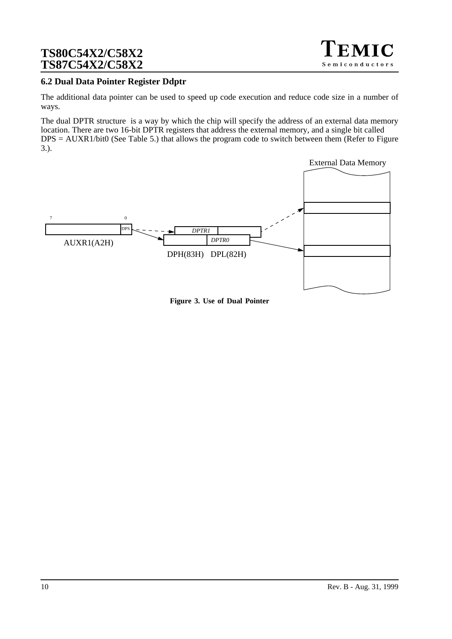## **6.2 Dual Data Pointer Register Ddptr**

The additional data pointer can be used to speed up code execution and reduce code size in a number of ways.

The dual DPTR structure is a way by which the chip will specify the address of an external data memory location. There are two 16-bit DPTR registers that address the external memory, and a single bit called  $DPS = AUXR1/bit0$  [\(See Table 5.](#page-10-0)) that allows the program code to switch between them (Refer to Figure 3.).



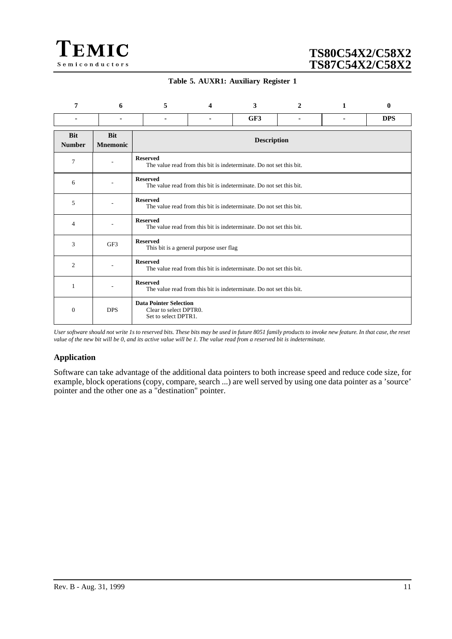<span id="page-10-0"></span>

### **Table 5. AUXR1: Auxiliary Register 1**

| 7                           | 6                             | 5                                                                                      | 4                                                                   | 3   | $\mathbf{2}$ | 1 | $\bf{0}$   |  |  |
|-----------------------------|-------------------------------|----------------------------------------------------------------------------------------|---------------------------------------------------------------------|-----|--------------|---|------------|--|--|
|                             |                               | ۰                                                                                      |                                                                     | GF3 |              | ۰ | <b>DPS</b> |  |  |
| <b>Bit</b><br><b>Number</b> | <b>Bit</b><br><b>Mnemonic</b> |                                                                                        | <b>Description</b>                                                  |     |              |   |            |  |  |
| 7                           | ٠                             | <b>Reserved</b>                                                                        | The value read from this bit is indeterminate. Do not set this bit. |     |              |   |            |  |  |
| 6                           | $\overline{\phantom{a}}$      | <b>Reserved</b>                                                                        | The value read from this bit is indeterminate. Do not set this bit. |     |              |   |            |  |  |
| 5                           |                               | <b>Reserved</b><br>The value read from this bit is indeterminate. Do not set this bit. |                                                                     |     |              |   |            |  |  |
| $\overline{4}$              |                               | <b>Reserved</b>                                                                        | The value read from this bit is indeterminate. Do not set this bit. |     |              |   |            |  |  |
| 3                           | GF3                           | <b>Reserved</b>                                                                        | This bit is a general purpose user flag                             |     |              |   |            |  |  |
| 2                           |                               | <b>Reserved</b>                                                                        | The value read from this bit is indeterminate. Do not set this bit. |     |              |   |            |  |  |
| 1                           |                               | <b>Reserved</b>                                                                        | The value read from this bit is indeterminate. Do not set this bit. |     |              |   |            |  |  |
| $\boldsymbol{0}$            | <b>DPS</b>                    | <b>Data Pointer Selection</b><br>Clear to select DPTR0.<br>Set to select DPTR1.        |                                                                     |     |              |   |            |  |  |

*User software should not write 1s to reserved bits. These bits may be used in future 8051 family products to invoke new feature. In that case, the reset value of the new bit will be 0, and its active value will be 1. The value read from a reserved bit is indeterminate.*

## **Application**

Software can take advantage of the additional data pointers to both increase speed and reduce code size, for example, block operations (copy, compare, search ...) are well served by using one data pointer as a 'source' pointer and the other one as a "destination" pointer.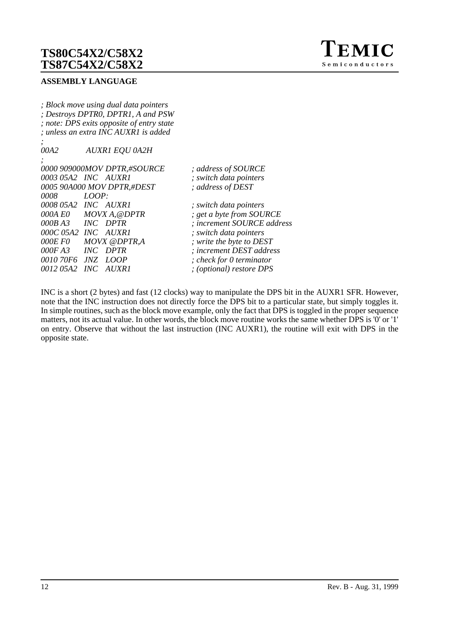

### **ASSEMBLY LANGUAGE**

*; Block move using dual data pointers ; Destroys DPTR0, DPTR1, A and PSW ; note: DPS exits opposite of entry state ; unless an extra INC AUXR1 is added*

*; 00A2 AUXR1 EQU 0A2H*

*;*

|         | 0000 909000MOV DPTR,#SOURCE | ; address of SOURCE        |
|---------|-----------------------------|----------------------------|
|         | 0003 05A2 INC AUXR1         | ; switch data pointers     |
|         | 0005 90A000 MOV DPTR,#DEST  | ; address of DEST          |
| 0008    | LOOP:                       |                            |
|         | 0008 05A2 INC AUXR1         | ; switch data pointers     |
|         | 000A EO MOVX A, @DPTR       | ; get a byte from SOURCE   |
| 000B A3 | <i>INC DPTR</i>             | ; increment SOURCE address |
|         | 000C 05A2 INC AUXR1         | ; switch data pointers     |
|         | 000E F0 MOVX @DPTR,A        | ; write the byte to DEST   |
|         | 000FA3 INC DPTR             | ; increment DEST address   |
|         | 0010 70F6 JNZ LOOP          | ; check for 0 termination  |
|         | 0012 05A2   INC   AUXR1     | ; (optional) restore DPS   |
|         |                             |                            |

INC is a short (2 bytes) and fast (12 clocks) way to manipulate the DPS bit in the AUXR1 SFR. However, note that the INC instruction does not directly force the DPS bit to a particular state, but simply toggles it. In simple routines, such as the block move example, only the fact that DPS is toggled in the proper sequence matters, not its actual value. In other words, the block move routine works the same whether DPS is '0' or '1' on entry. Observe that without the last instruction (INC AUXR1), the routine will exit with DPS in the opposite state.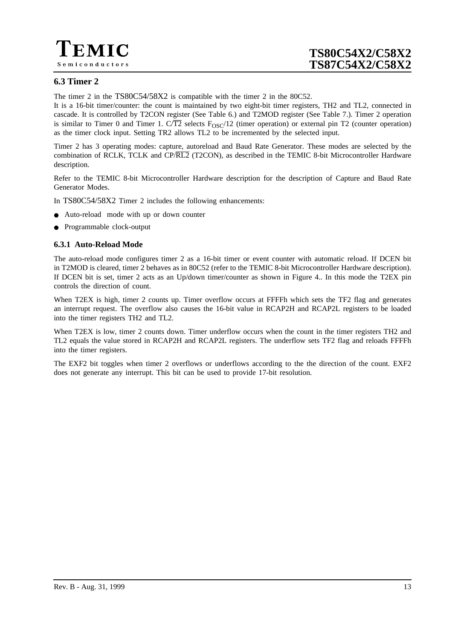

## **6.3 Timer 2**

The timer 2 in the TS80C54/58X2 is compatible with the timer 2 in the 80C52.

It is a 16-bit timer/counter: the count is maintained by two eight-bit timer registers, TH2 and TL2, connected in cascade. It is controlled by T2CON register (See [Table 6.\)](#page-15-0) and T2MOD register (See [Table 7.](#page-16-0)). Timer 2 operation is similar to Timer 0 and Timer 1. C/T2 selects  $F_{OSC}/12$  (timer operation) or external pin T2 (counter operation) as the timer clock input. Setting TR2 allows TL2 to be incremented by the selected input.

Timer 2 has 3 operating modes: capture, autoreload and Baud Rate Generator. These modes are selected by the combination of RCLK, TCLK and CP/RL2 (T2CON), as described in the TEMIC 8-bit Microcontroller Hardware description.

Refer to the TEMIC 8-bit Microcontroller Hardware description for the description of Capture and Baud Rate Generator Modes.

In TS80C54/58X2 Timer 2 includes the following enhancements:

- Auto-reload mode with up or down counter
- Programmable clock-output

### **6.3.1 Auto-Reload Mode**

The auto-reload mode configures timer 2 as a 16-bit timer or event counter with automatic reload. If DCEN bit in T2MOD is cleared, timer 2 behaves as in 80C52 (refer to the TEMIC 8-bit Microcontroller Hardware description). If DCEN bit is set, timer 2 acts as an Up/down timer/counter as shown in [Figure 4..](#page-13-0) In this mode the T2EX pin controls the direction of count.

When T2EX is high, timer 2 counts up. Timer overflow occurs at FFFFh which sets the TF2 flag and generates an interrupt request. The overflow also causes the 16-bit value in RCAP2H and RCAP2L registers to be loaded into the timer registers TH2 and TL2.

When T2EX is low, timer 2 counts down. Timer underflow occurs when the count in the timer registers TH2 and TL2 equals the value stored in RCAP2H and RCAP2L registers. The underflow sets TF2 flag and reloads FFFFh into the timer registers.

The EXF2 bit toggles when timer 2 overflows or underflows according to the the direction of the count. EXF2 does not generate any interrupt. This bit can be used to provide 17-bit resolution.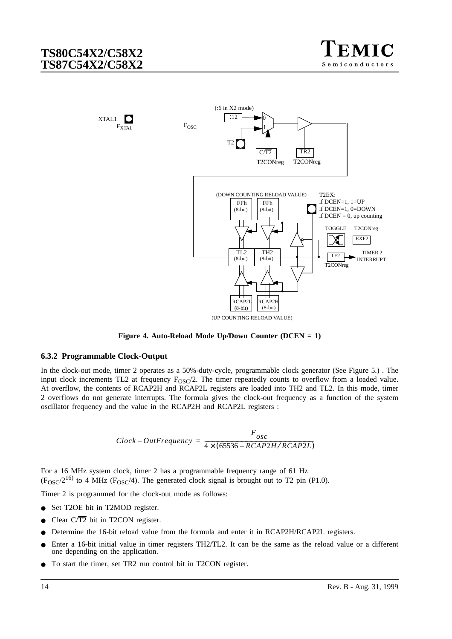

<span id="page-13-0"></span>

**Figure 4. Auto-Reload Mode Up/Down Counter (DCEN = 1)**

#### **6.3.2 Programmable Clock-Output**

In the clock-out mode, timer 2 operates as a 50%-duty-cycle, programmable clock generator (See [Figure 5.\)](#page-14-0) . The input clock increments TL2 at frequency  $F_{OSC}/2$ . The timer repeatedly counts to overflow from a loaded value. At overflow, the contents of RCAP2H and RCAP2L registers are loaded into TH2 and TL2. In this mode, timer 2 overflows do not generate interrupts. The formula gives the clock-out frequency as a function of the system oscillator frequency and the value in the RCAP2H and RCAP2L registers :

$$
Clock-OutFrequency = \frac{F_{osc}}{4 \times (65536 - RCAP2H/RCAP2L)}
$$

For a 16 MHz system clock, timer 2 has a programmable frequency range of 61 Hz  $(F<sub>OSC</sub>/2<sup>16)</sup>$  to 4 MHz ( $F<sub>OSC</sub>/4$ ). The generated clock signal is brought out to T2 pin (P1.0).

Timer 2 is programmed for the clock-out mode as follows:

- Set T2OE bit in T2MOD register.
- Clear  $C/\overline{T2}$  bit in T2CON register.
- Determine the 16-bit reload value from the formula and enter it in RCAP2H/RCAP2L registers.
- Enter a 16-bit initial value in timer registers TH2/TL2. It can be the same as the reload value or a different one depending on the application.
- To start the timer, set TR2 run control bit in T2CON register.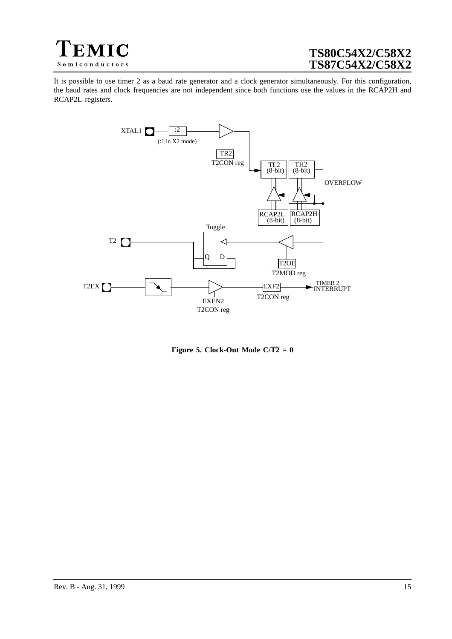<span id="page-14-0"></span>

It is possible to use timer 2 as a baud rate generator and a clock generator simultaneously. For this configuration, the baud rates and clock frequencies are not independent since both functions use the values in the RCAP2H and RCAP2L registers.



**Figure 5. Clock-Out Mode C/** $\overline{T2} = 0$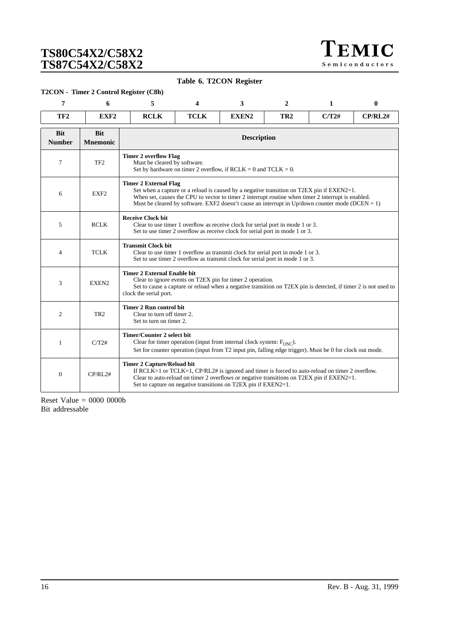TEMIC Semiconductors

**Table 6. T2CON Register**

#### <span id="page-15-0"></span>**T2CON - Timer 2 Control Register (C8h)**

| 7                           | 6                             | 5                                                                                                                                                                                                                                                                                                                                  | 3<br>$\mathbf{2}$<br>1<br>4                                                                                                                                                                                                                                                                           |                                                                     |                 |       | 0       |
|-----------------------------|-------------------------------|------------------------------------------------------------------------------------------------------------------------------------------------------------------------------------------------------------------------------------------------------------------------------------------------------------------------------------|-------------------------------------------------------------------------------------------------------------------------------------------------------------------------------------------------------------------------------------------------------------------------------------------------------|---------------------------------------------------------------------|-----------------|-------|---------|
| TF <sub>2</sub>             | EXF <sub>2</sub>              | <b>RCLK</b>                                                                                                                                                                                                                                                                                                                        | <b>TCLK</b>                                                                                                                                                                                                                                                                                           | EXEN2                                                               | TR <sub>2</sub> | C/T2# | CP/RL2# |
| <b>Bit</b><br><b>Number</b> | <b>Bit</b><br><b>Mnemonic</b> |                                                                                                                                                                                                                                                                                                                                    |                                                                                                                                                                                                                                                                                                       | <b>Description</b>                                                  |                 |       |         |
| 7                           | TF <sub>2</sub>               | <b>Timer 2 overflow Flag</b><br>Must be cleared by software.                                                                                                                                                                                                                                                                       |                                                                                                                                                                                                                                                                                                       | Set by hardware on timer 2 overflow, if $RCLK = 0$ and $TCLK = 0$ . |                 |       |         |
| 6                           | EXF <sub>2</sub>              | <b>Timer 2 External Flag</b><br>Set when a capture or a reload is caused by a negative transition on T2EX pin if EXEN2=1.<br>When set, causes the CPU to vector to timer 2 interrupt routine when timer 2 interrupt is enabled.<br>Must be cleared by software. EXF2 doesn't cause an interrupt in Up/down counter mode (DCEN = 1) |                                                                                                                                                                                                                                                                                                       |                                                                     |                 |       |         |
| 5                           | <b>RCLK</b>                   | <b>Receive Clock bit</b><br>Clear to use timer 1 overflow as receive clock for serial port in mode 1 or 3.<br>Set to use timer 2 overflow as receive clock for serial port in mode 1 or 3.                                                                                                                                         |                                                                                                                                                                                                                                                                                                       |                                                                     |                 |       |         |
| 4                           | <b>TCLK</b>                   | <b>Transmit Clock bit</b><br>Clear to use timer 1 overflow as transmit clock for serial port in mode 1 or 3.<br>Set to use timer 2 overflow as transmit clock for serial port in mode 1 or 3.                                                                                                                                      |                                                                                                                                                                                                                                                                                                       |                                                                     |                 |       |         |
| 3                           | EXEN2                         | <b>Timer 2 External Enable bit</b><br>Clear to ignore events on T2EX pin for timer 2 operation.<br>Set to cause a capture or reload when a negative transition on T2EX pin is detected, if timer 2 is not used to<br>clock the serial port.                                                                                        |                                                                                                                                                                                                                                                                                                       |                                                                     |                 |       |         |
| 2                           | TR <sub>2</sub>               | <b>Timer 2 Run control bit</b><br>Clear to turn off timer 2.<br>Set to turn on timer 2.                                                                                                                                                                                                                                            |                                                                                                                                                                                                                                                                                                       |                                                                     |                 |       |         |
| 1                           | C/T2#                         | <b>Timer/Counter 2 select bit</b><br>Clear for timer operation (input from internal clock system: $F_{OSC}$ ).<br>Set for counter operation (input from T2 input pin, falling edge trigger). Must be 0 for clock out mode.                                                                                                         |                                                                                                                                                                                                                                                                                                       |                                                                     |                 |       |         |
| $\mathbf{0}$                | CP/RL2#                       |                                                                                                                                                                                                                                                                                                                                    | <b>Timer 2 Capture/Reload bit</b><br>If RCLK=1 or TCLK=1, $CP/RL2#$ is ignored and timer is forced to auto-reload on timer 2 overflow.<br>Clear to auto-reload on timer 2 overflows or negative transitions on T2EX pin if EXEN2=1.<br>Set to capture on negative transitions on T2EX pin if EXEN2=1. |                                                                     |                 |       |         |

Reset Value = 0000 0000b Bit addressable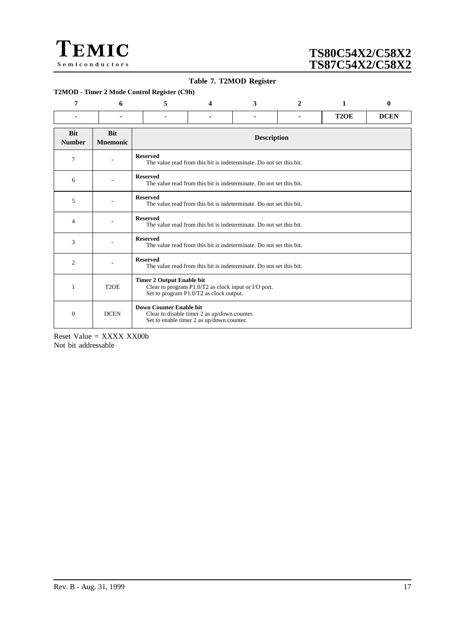<span id="page-16-0"></span>

### **Table 7. T2MOD Register**

#### **T2MOD - Timer 2 Mode Control Register (C9h)**

| 7                           | 6                             | 5                                                                                                                                   | 4                                                                   | 3                                                                   | 2 | 1                 | $\mathbf{0}$ |  |
|-----------------------------|-------------------------------|-------------------------------------------------------------------------------------------------------------------------------------|---------------------------------------------------------------------|---------------------------------------------------------------------|---|-------------------|--------------|--|
| ۰                           |                               | ۰                                                                                                                                   | $\sim$                                                              | ۰                                                                   | ۰ | T <sub>2</sub> OE | <b>DCEN</b>  |  |
| <b>Bit</b><br><b>Number</b> | <b>Bit</b><br><b>Mnemonic</b> |                                                                                                                                     |                                                                     | <b>Description</b>                                                  |   |                   |              |  |
| 7                           |                               | <b>Reserved</b>                                                                                                                     |                                                                     | The value read from this bit is indeterminate. Do not set this bit. |   |                   |              |  |
| 6                           |                               | <b>Reserved</b>                                                                                                                     |                                                                     | The value read from this bit is indeterminate. Do not set this bit. |   |                   |              |  |
| 5                           |                               | <b>Reserved</b><br>The value read from this bit is indeterminate. Do not set this bit.                                              |                                                                     |                                                                     |   |                   |              |  |
| $\overline{4}$              |                               | <b>Reserved</b>                                                                                                                     | The value read from this bit is indeterminate. Do not set this bit. |                                                                     |   |                   |              |  |
| 3                           |                               | <b>Reserved</b>                                                                                                                     | The value read from this bit is indeterminate. Do not set this bit. |                                                                     |   |                   |              |  |
| $\overline{c}$              |                               | <b>Reserved</b>                                                                                                                     | The value read from this bit is indeterminate. Do not set this bit. |                                                                     |   |                   |              |  |
| $\mathbf{1}$                | T <sub>2</sub> OE             | <b>Timer 2 Output Enable bit</b><br>Clear to program P1.0/T2 as clock input or I/O port.<br>Set to program P1.0/T2 as clock output. |                                                                     |                                                                     |   |                   |              |  |
| $\theta$                    | <b>DCEN</b>                   | <b>Down Counter Enable bit</b><br>Clear to disable timer 2 as up/down counter.<br>Set to enable timer 2 as up/down counter.         |                                                                     |                                                                     |   |                   |              |  |

Reset Value = XXXX XX00b Not bit addressable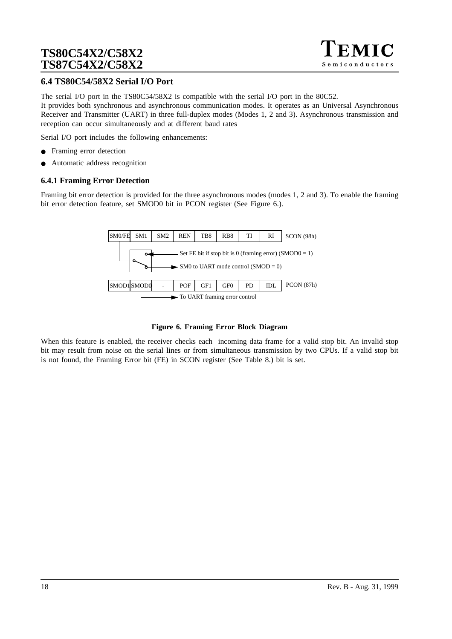

## **6.4 TS80C54/58X2 Serial I/O Port**

The serial I/O port in the TS80C54/58X2 is compatible with the serial I/O port in the 80C52. It provides both synchronous and asynchronous communication modes. It operates as an Universal Asynchronous Receiver and Transmitter (UART) in three full-duplex modes (Modes 1, 2 and 3). Asynchronous transmission and reception can occur simultaneously and at different baud rates

Serial I/O port includes the following enhancements:

- Framing error detection
- Automatic address recognition

### **6.4.1 Framing Error Detection**

Framing bit error detection is provided for the three asynchronous modes (modes 1, 2 and 3). To enable the framing bit error detection feature, set SMOD0 bit in PCON register (See Figure 6.).



#### **Figure 6. Framing Error Block Diagram**

When this feature is enabled, the receiver checks each incoming data frame for a valid stop bit. An invalid stop bit may result from noise on the serial lines or from simultaneous transmission by two CPUs. If a valid stop bit is not found, the Framing Error bit (FE) in SCON register (See [Table 8.](#page-21-0)) bit is set.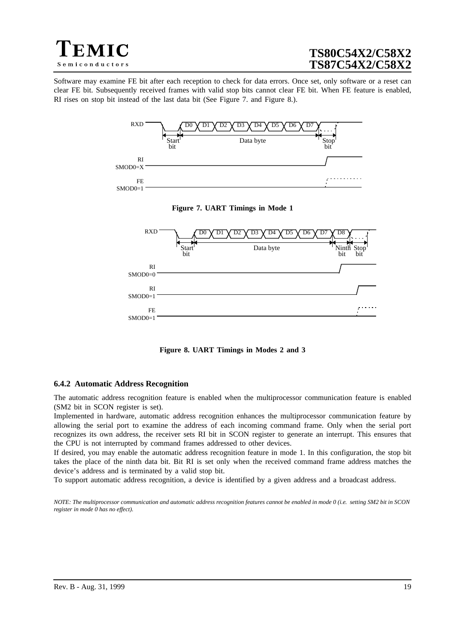<span id="page-18-0"></span>

Software may examine FE bit after each reception to check for data errors. Once set, only software or a reset can clear FE bit. Subsequently received frames with valid stop bits cannot clear FE bit. When FE feature is enabled, RI rises on stop bit instead of the last data bit (See Figure 7. and Figure 8.).







**Figure 8. UART Timings in Modes 2 and 3**

#### **6.4.2 Automatic Address Recognition**

The automatic address recognition feature is enabled when the multiprocessor communication feature is enabled (SM2 bit in SCON register is set).

Implemented in hardware, automatic address recognition enhances the multiprocessor communication feature by allowing the serial port to examine the address of each incoming command frame. Only when the serial port recognizes its own address, the receiver sets RI bit in SCON register to generate an interrupt. This ensures that the CPU is not interrupted by command frames addressed to other devices.

If desired, you may enable the automatic address recognition feature in mode 1. In this configuration, the stop bit takes the place of the ninth data bit. Bit RI is set only when the received command frame address matches the device's address and is terminated by a valid stop bit.

To support automatic address recognition, a device is identified by a given address and a broadcast address.

*NOTE: The multiprocessor communication and automatic address recognition features cannot be enabled in mode 0 (i.e. setting SM2 bit in SCON register in mode 0 has no effect).*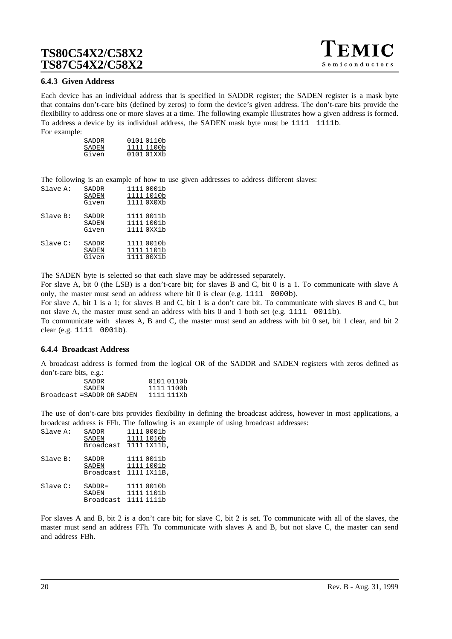### **6.4.3 Given Address**

Each device has an individual address that is specified in SADDR register; the SADEN register is a mask byte that contains don't-care bits (defined by zeros) to form the device's given address. The don't-care bits provide the flexibility to address one or more slaves at a time. The following example illustrates how a given address is formed. To address a device by its individual address, the SADEN mask byte must be 1111 1111b. For example:

| SADDR | 0101 0110b |
|-------|------------|
| SADEN | 1111 1100b |
| Given | 0101 01XXb |

The following is an example of how to use given addresses to address different slaves:

| Slave A: | SADDR<br>SADEN<br>Given        | 1111 0001b<br>1111 1010b<br>1111 0X0Xb |
|----------|--------------------------------|----------------------------------------|
| Slave B: | SADDR<br><b>SADEN</b><br>Given | 1111 0011b<br>1111 1001b<br>1111 0XX1b |
| Slave C: | SADDR<br>SADEN<br>Given        | 1111 0010b<br>1111 1101b<br>1111 00X1b |

The SADEN byte is selected so that each slave may be addressed separately.

For slave A, bit 0 (the LSB) is a don't-care bit; for slaves B and C, bit 0 is a 1. To communicate with slave A only, the master must send an address where bit 0 is clear (e.g. 1111 0000b).

For slave A, bit 1 is a 1; for slaves B and C, bit 1 is a don't care bit. To communicate with slaves B and C, but not slave A, the master must send an address with bits 0 and 1 both set (e.g. 1111 0011b).

To communicate with slaves A, B and C, the master must send an address with bit 0 set, bit 1 clear, and bit 2 clear (e.g. 1111 0001b).

### **6.4.4 Broadcast Address**

A broadcast address is formed from the logical OR of the SADDR and SADEN registers with zeros defined as don't-care bits, e.g.:

| 0101 0110b |
|------------|
| 1111 1100b |
| 1111 111Xb |
|            |

The use of don't-care bits provides flexibility in defining the broadcast address, however in most applications, a broadcast address is FFh. The following is an example of using broadcast addresses:

| Slave A: | SADDR<br>SADEN<br>Broadcast     | 1111 0001b<br>1111 1010b<br>1111 1X11b, |
|----------|---------------------------------|-----------------------------------------|
| Slave B: | SADDR<br>SADEN<br>Broadcast     | 1111 0011b<br>1111 1001b<br>1111 1X11B, |
| Slave C: | $SADDR =$<br>SADEN<br>Broadcast | 1111 0010b<br>1111 1101b<br>1111 1111b  |

For slaves A and B, bit 2 is a don't care bit; for slave C, bit 2 is set. To communicate with all of the slaves, the master must send an address FFh. To communicate with slaves A and B, but not slave C, the master can send and address FBh.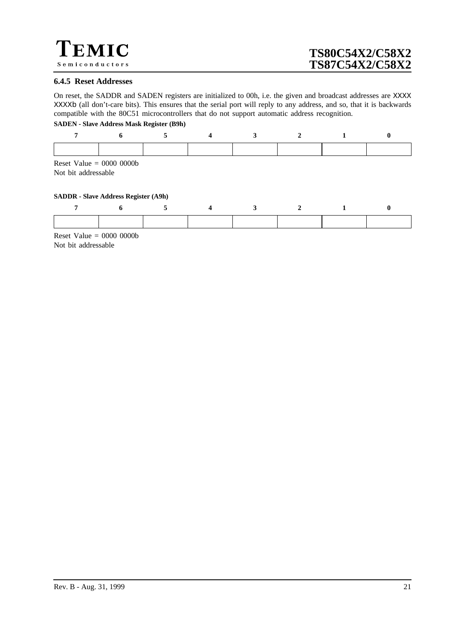

#### **6.4.5 Reset Addresses**

On reset, the SADDR and SADEN registers are initialized to 00h, i.e. the given and broadcast addresses are XXXX XXXXb (all don't-care bits). This ensures that the serial port will reply to any address, and so, that it is backwards compatible with the 80C51 microcontrollers that do not support automatic address recognition.

#### **SADEN - Slave Address Mask Register (B9h)**

| Reset Value = $0000 0000$<br>Not bit addressable |                                             |  |  |  |
|--------------------------------------------------|---------------------------------------------|--|--|--|
|                                                  | <b>SADDR</b> - Slave Address Register (A9h) |  |  |  |
|                                                  |                                             |  |  |  |
|                                                  |                                             |  |  |  |
| Reset Value = $0000 0000$                        |                                             |  |  |  |

Not bit addressable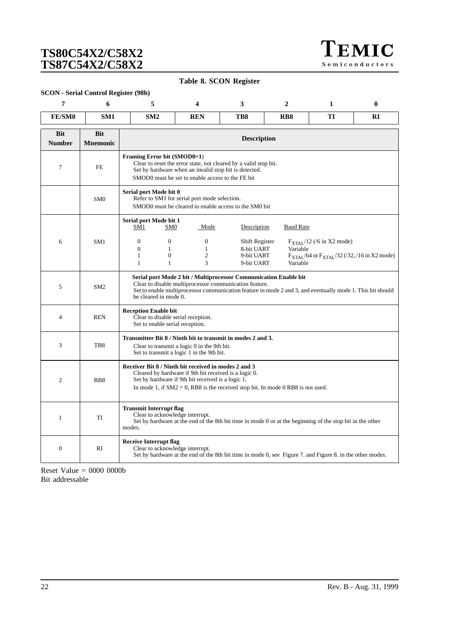TEMIC Semiconductors

**Table 8. SCON Register**

### <span id="page-21-0"></span>**SCON - Serial Control Register (98h)**

| 7                           | 6                             | 5                                                                                                                                                                                                                                                                 | 4                                                                                                                                                                                                            | 3                                                        | $\overline{2}$       | 1                                                                                                            | $\bf{0}$ |  |  |
|-----------------------------|-------------------------------|-------------------------------------------------------------------------------------------------------------------------------------------------------------------------------------------------------------------------------------------------------------------|--------------------------------------------------------------------------------------------------------------------------------------------------------------------------------------------------------------|----------------------------------------------------------|----------------------|--------------------------------------------------------------------------------------------------------------|----------|--|--|
| FE/SM0                      | SM1                           | SM2                                                                                                                                                                                                                                                               | <b>REN</b>                                                                                                                                                                                                   | TB8                                                      | R <sub>B</sub> 8     | TI                                                                                                           | RI       |  |  |
| <b>Bit</b><br><b>Number</b> | <b>Bit</b><br><b>Mnemonic</b> |                                                                                                                                                                                                                                                                   |                                                                                                                                                                                                              | <b>Description</b>                                       |                      |                                                                                                              |          |  |  |
| 7                           | <b>FE</b>                     |                                                                                                                                                                                                                                                                   | Framing Error bit (SMOD0=1)<br>Clear to reset the error state, not cleared by a valid stop bit.<br>Set by hardware when an invalid stop bit is detected.<br>SMOD0 must be set to enable access to the FE bit |                                                          |                      |                                                                                                              |          |  |  |
|                             | SM <sub>0</sub>               | Serial port Mode bit 0                                                                                                                                                                                                                                            | Refer to SM1 for serial port mode selection.<br>SMOD0 must be cleared to enable access to the SM0 bit                                                                                                        |                                                          |                      |                                                                                                              |          |  |  |
|                             |                               | Serial port Mode bit 1<br>SM1                                                                                                                                                                                                                                     | SM <sub>0</sub><br>Mode                                                                                                                                                                                      | Description                                              | <b>Baud Rate</b>     |                                                                                                              |          |  |  |
| 6                           | SM <sub>1</sub>               | $\mathbf{0}$<br>$\mathbf{0}$<br>1<br>$\mathbf{1}$                                                                                                                                                                                                                 | $\overline{0}$<br>$\overline{0}$<br>$\mathbf{1}$<br>$\mathbf{1}$<br>$\Omega$<br>$\overline{c}$<br>3<br>$\mathbf{1}$                                                                                          | Shift Register<br>8-bit UART<br>9-bit UART<br>9-bit UART | Variable<br>Variable | $F_{\text{XTAL}}/12$ (/6 in X2 mode)<br>F <sub>XTAL</sub> /64 or F <sub>XTAL</sub> /32 (/32, /16 in X2 mode) |          |  |  |
| 5                           | SM2                           | Serial port Mode 2 bit / Multiprocessor Communication Enable bit<br>Clear to disable multiprocessor communication feature.<br>Set to enable multiprocessor communication feature in mode 2 and 3, and eventually mode 1. This bit should<br>be cleared in mode 0. |                                                                                                                                                                                                              |                                                          |                      |                                                                                                              |          |  |  |
| $\overline{4}$              | <b>REN</b>                    | <b>Reception Enable bit</b>                                                                                                                                                                                                                                       | Clear to disable serial reception.<br>Set to enable serial reception.                                                                                                                                        |                                                          |                      |                                                                                                              |          |  |  |
| 3                           | TB8                           |                                                                                                                                                                                                                                                                   | Transmitter Bit 8 / Ninth bit to transmit in modes 2 and 3.<br>Clear to transmit a logic 0 in the 9th bit.<br>Set to transmit a logic 1 in the 9th bit.                                                      |                                                          |                      |                                                                                                              |          |  |  |
| $\overline{2}$              | RB <sub>8</sub>               | Receiver Bit 8 / Ninth bit received in modes 2 and 3<br>Cleared by hardware if 9th bit received is a logic 0.<br>Set by hardware if 9th bit received is a logic 1.<br>In mode 1, if $SM2 = 0$ , RB8 is the received stop bit. In mode 0 RB8 is not used.          |                                                                                                                                                                                                              |                                                          |                      |                                                                                                              |          |  |  |
| $\mathbf{1}$                | TI                            | modes.                                                                                                                                                                                                                                                            | <b>Transmit Interrupt flag</b><br>Clear to acknowledge interrupt.<br>Set by hardware at the end of the 8th bit time in mode 0 or at the beginning of the stop bit in the other                               |                                                          |                      |                                                                                                              |          |  |  |
| $\overline{0}$              | <b>RI</b>                     | <b>Receive Interrupt flag</b>                                                                                                                                                                                                                                     | Clear to acknowledge interrupt.<br>Set by hardware at the end of the 8th bit time in mode 0, see Figure 7. and Figure 8. in the other modes.                                                                 |                                                          |                      |                                                                                                              |          |  |  |

Reset Value  $= 0000 0000$ Bit addressable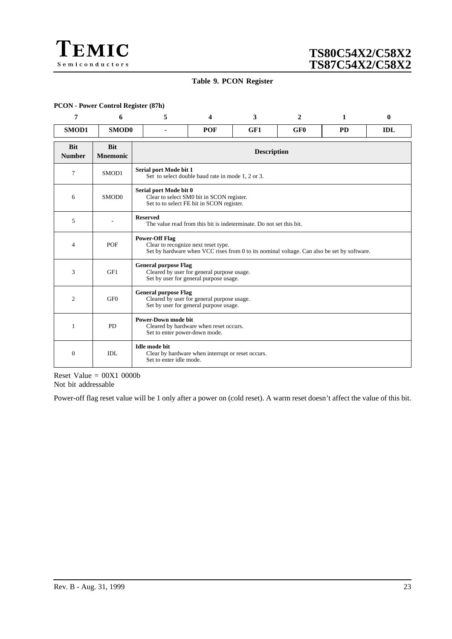

### **Table 9. PCON Register**

#### **PCON - Power Control Register (87h)**

| 7                           | 6                             | 5                                               | Δ                                                                                                                   | 3 | 2                                                                                          | 1 | $\bf{0}$   |  |  |  |
|-----------------------------|-------------------------------|-------------------------------------------------|---------------------------------------------------------------------------------------------------------------------|---|--------------------------------------------------------------------------------------------|---|------------|--|--|--|
| SMOD1                       | SMOD0                         | ä.                                              | <b>POF</b><br>GF <sub>0</sub><br>GF1<br><b>PD</b>                                                                   |   |                                                                                            |   | <b>IDL</b> |  |  |  |
| <b>Bit</b><br><b>Number</b> | <b>Bit</b><br><b>Mnemonic</b> |                                                 | <b>Description</b>                                                                                                  |   |                                                                                            |   |            |  |  |  |
| 7                           | SMOD1                         | Serial port Mode bit 1                          | Set to select double baud rate in mode 1, 2 or 3.                                                                   |   |                                                                                            |   |            |  |  |  |
| 6                           | SMOD0                         |                                                 | Serial port Mode bit 0<br>Clear to select SM0 bit in SCON register.<br>Set to to select FE bit in SCON register.    |   |                                                                                            |   |            |  |  |  |
| 5                           |                               | <b>Reserved</b>                                 | The value read from this bit is indeterminate. Do not set this bit.                                                 |   |                                                                                            |   |            |  |  |  |
| 4                           | POF                           | <b>Power-Off Flag</b>                           | Clear to recognize next reset type.                                                                                 |   | Set by hardware when VCC rises from 0 to its nominal voltage. Can also be set by software. |   |            |  |  |  |
| 3                           | GF1                           |                                                 | <b>General purpose Flag</b><br>Cleared by user for general purpose usage.<br>Set by user for general purpose usage. |   |                                                                                            |   |            |  |  |  |
| $\overline{c}$              | GF <sub>0</sub>               |                                                 | <b>General purpose Flag</b><br>Cleared by user for general purpose usage.<br>Set by user for general purpose usage. |   |                                                                                            |   |            |  |  |  |
| $\mathbf{1}$                | <b>PD</b>                     |                                                 | <b>Power-Down mode bit</b><br>Cleared by hardware when reset occurs.<br>Set to enter power-down mode.               |   |                                                                                            |   |            |  |  |  |
| $\theta$                    | IDL                           | <b>Idle mode bit</b><br>Set to enter idle mode. | Clear by hardware when interrupt or reset occurs.                                                                   |   |                                                                                            |   |            |  |  |  |

Reset Value  $= 00X1 0000b$ Not bit addressable

Power-off flag reset value will be 1 only after a power on (cold reset). A warm reset doesn't affect the value of this bit.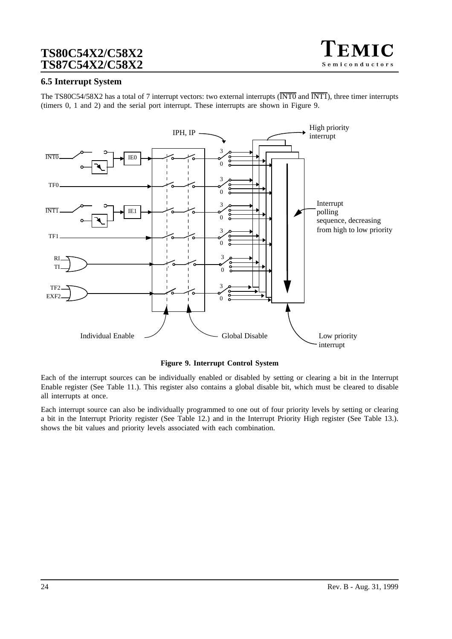

## **6.5 Interrupt System**

The TS80C54/58X2 has a total of 7 interrupt vectors: two external interrupts (INT0 and INT1), three timer interrupts (timers 0, 1 and 2) and the serial port interrupt. These interrupts are shown in Figure 9.



**Figure 9. Interrupt Control System**

Each of the interrupt sources can be individually enabled or disabled by setting or clearing a bit in the Interrupt Enable register (See [Table 11.\)](#page-24-0). This register also contains a global disable bit, which must be cleared to disable all interrupts at once.

Each interrupt source can also be individually programmed to one out of four priority levels by setting or clearing a bit in the Interrupt Priority register (See [Table 12.\)](#page-25-0) and in the Interrupt Priority High register (See [Table 13.\)](#page-26-0)[.](#page-24-0) shows the bit values and priority levels associated with each combination.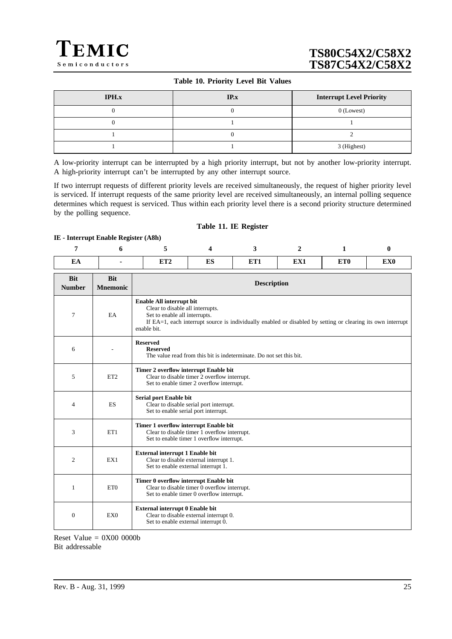### **Table 10. Priority Level Bit Values**

<span id="page-24-0"></span>

| <b>IPH.x</b> | IP.x | <b>Interrupt Level Priority</b> |
|--------------|------|---------------------------------|
|              |      | $0$ (Lowest)                    |
|              |      |                                 |
|              |      |                                 |
|              |      | 3 (Highest)                     |

A low-priority interrupt can be interrupted by a high priority interrupt, but not by another low-priority interrupt. A high-priority interrupt can't be interrupted by any other interrupt source.

If two interrupt requests of different priority levels are received simultaneously, the request of higher priority level is serviced. If interrupt requests of the same priority level are received simultaneously, an internal polling sequence determines which request is serviced. Thus within each priority level there is a second priority structure determined by the polling sequence.

#### **Table 11. IE Register**

#### **IE - Interrupt Enable Register (A8h)**

| EA | <b>TILLA</b><br>. | mс<br>L'AJ | ETT1<br><b>ETT</b> | <b>TITLE</b><br>EЛ. | ET <sub>0</sub> | EX <sub>0</sub> |
|----|-------------------|------------|--------------------|---------------------|-----------------|-----------------|

| <b>Bit</b><br><b>Number</b> | <b>Bit</b><br><b>Mnemonic</b> | <b>Description</b>                                                                                                                                                                                                          |
|-----------------------------|-------------------------------|-----------------------------------------------------------------------------------------------------------------------------------------------------------------------------------------------------------------------------|
| 7                           | EA                            | Enable All interrupt bit<br>Clear to disable all interrupts.<br>Set to enable all interrupts.<br>If EA=1, each interrupt source is individually enabled or disabled by setting or clearing its own interrupt<br>enable bit. |
| 6                           |                               | <b>Reserved</b><br><b>Reserved</b><br>The value read from this bit is indeterminate. Do not set this bit.                                                                                                                   |
| 5                           | ET <sub>2</sub>               | Timer 2 overflow interrupt Enable bit<br>Clear to disable timer 2 overflow interrupt.<br>Set to enable timer 2 overflow interrupt.                                                                                          |
| $\overline{4}$              | ES                            | Serial port Enable bit<br>Clear to disable serial port interrupt.<br>Set to enable serial port interrupt.                                                                                                                   |
| 3                           | ET1                           | Timer 1 overflow interrupt Enable bit<br>Clear to disable timer 1 overflow interrupt.<br>Set to enable timer 1 overflow interrupt.                                                                                          |
| 2                           | EX1                           | <b>External interrupt 1 Enable bit</b><br>Clear to disable external interrupt 1.<br>Set to enable external interrupt 1.                                                                                                     |
| 1                           | ET <sub>0</sub>               | Timer 0 overflow interrupt Enable bit<br>Clear to disable timer 0 overflow interrupt.<br>Set to enable timer 0 overflow interrupt.                                                                                          |
| $\theta$                    | EX <sub>0</sub>               | External interrupt 0 Enable bit<br>Clear to disable external interrupt 0.<br>Set to enable external interrupt 0.                                                                                                            |

Reset Value  $= 0X00 0000b$ Bit addressable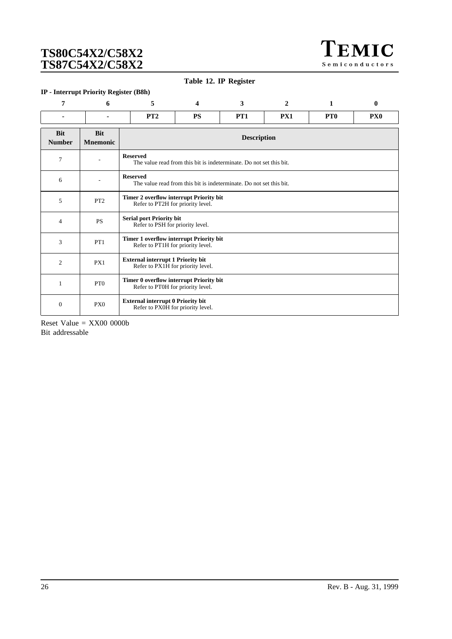TEMIC Semiconductors

**Table 12. IP Register**

### <span id="page-25-0"></span>**IP - Interrupt Priority Register (B8h)**

| 7                           | 6                             | 5                                                                             | $\boldsymbol{\Delta}$                                                               | 3               | $\mathbf{2}$ | 1               | $\bf{0}$        |  |  |  |
|-----------------------------|-------------------------------|-------------------------------------------------------------------------------|-------------------------------------------------------------------------------------|-----------------|--------------|-----------------|-----------------|--|--|--|
| ۰                           |                               | PT2                                                                           | <b>PS</b>                                                                           | PT <sub>1</sub> | <b>PX1</b>   | PT <sub>0</sub> | PX <sub>0</sub> |  |  |  |
| <b>Bit</b><br><b>Number</b> | <b>Bit</b><br><b>Mnemonic</b> |                                                                               | <b>Description</b>                                                                  |                 |              |                 |                 |  |  |  |
| 7                           |                               | <b>Reserved</b>                                                               | The value read from this bit is indeterminate. Do not set this bit.                 |                 |              |                 |                 |  |  |  |
| 6                           |                               | <b>Reserved</b>                                                               | The value read from this bit is indeterminate. Do not set this bit.                 |                 |              |                 |                 |  |  |  |
| 5                           | PT <sub>2</sub>               |                                                                               | <b>Timer 2 overflow interrupt Priority bit</b><br>Refer to PT2H for priority level. |                 |              |                 |                 |  |  |  |
| $\overline{4}$              | <b>PS</b>                     | <b>Serial port Priority bit</b><br>Refer to PSH for priority level.           |                                                                                     |                 |              |                 |                 |  |  |  |
| 3                           | PT1                           |                                                                               | Timer 1 overflow interrupt Priority bit<br>Refer to PT1H for priority level.        |                 |              |                 |                 |  |  |  |
| $\overline{c}$              | PX1                           |                                                                               | <b>External interrupt 1 Priority bit</b><br>Refer to PX1H for priority level.       |                 |              |                 |                 |  |  |  |
| 1                           | PT <sub>0</sub>               |                                                                               | Timer 0 overflow interrupt Priority bit<br>Refer to PT0H for priority level.        |                 |              |                 |                 |  |  |  |
| $\theta$                    | PX <sub>0</sub>               | <b>External interrupt 0 Priority bit</b><br>Refer to PX0H for priority level. |                                                                                     |                 |              |                 |                 |  |  |  |

Reset Value  $=$  XX00 0000b Bit addressable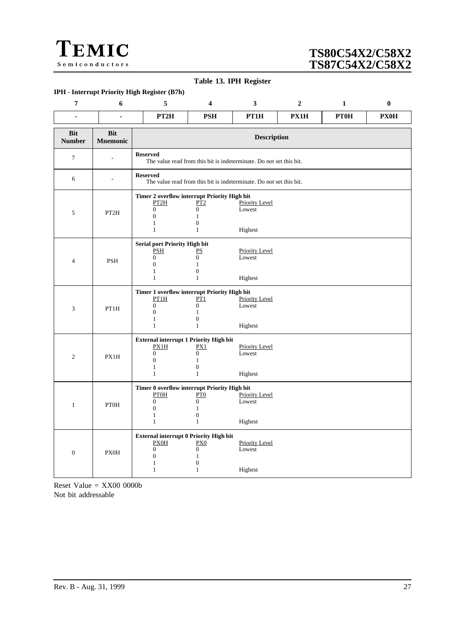<span id="page-26-0"></span>![](_page_26_Picture_0.jpeg)

#### **Table 13. IPH Register**

### **IPH - Interrupt Priority High Register (B7h)**

| $\overline{7}$              | 6                             | 5                                                                                                                             | 4                                                                                   | $\mathbf{3}$                               | $\boldsymbol{2}$ | $\mathbf{1}$ | $\bf{0}$    |  |  |  |
|-----------------------------|-------------------------------|-------------------------------------------------------------------------------------------------------------------------------|-------------------------------------------------------------------------------------|--------------------------------------------|------------------|--------------|-------------|--|--|--|
| ä,                          | ä,                            | PT <sub>2H</sub>                                                                                                              | <b>PSH</b>                                                                          | PT1H                                       | PX1H             | PTOH         | <b>PX0H</b> |  |  |  |
| <b>Bit</b><br><b>Number</b> | <b>Bit</b><br><b>Mnemonic</b> |                                                                                                                               | <b>Description</b>                                                                  |                                            |                  |              |             |  |  |  |
| $\boldsymbol{7}$            |                               | <b>Reserved</b>                                                                                                               | The value read from this bit is indeterminate. Do not set this bit.                 |                                            |                  |              |             |  |  |  |
| 6                           | ÷.                            | <b>Reserved</b>                                                                                                               | The value read from this bit is indeterminate. Do not set this bit.                 |                                            |                  |              |             |  |  |  |
| 5                           | PT2H                          | Timer 2 overflow interrupt Priority High bit<br>PT2H<br>$\boldsymbol{0}$<br>$\overline{0}$<br>1<br>$\mathbf{1}$               | PT2<br>$\overline{0}$<br>$\mathbf{1}$<br>$\boldsymbol{0}$<br>$\mathbf{1}$           | Priority Level<br>Lowest<br>Highest        |                  |              |             |  |  |  |
| 4                           | <b>PSH</b>                    | <b>Serial port Priority High bit</b><br><b>PSH</b><br>$\boldsymbol{0}$<br>$\overline{0}$<br>$\mathbf{1}$<br>$\mathbf{1}$      | PS<br>$\overline{0}$<br>$\mathbf{1}$<br>$\boldsymbol{0}$<br>$\mathbf{1}$            | <b>Priority Level</b><br>Lowest<br>Highest |                  |              |             |  |  |  |
| $\mathfrak{Z}$              | PT1H                          | Timer 1 overflow interrupt Priority High bit<br>PT1H<br>$\boldsymbol{0}$<br>$\overline{0}$<br>1<br>$\mathbf{1}$               | PT1<br>$\boldsymbol{0}$<br>$\mathbf{1}$<br>$\boldsymbol{0}$<br>$\mathbf{1}$         | <b>Priority Level</b><br>Lowest<br>Highest |                  |              |             |  |  |  |
| $\overline{2}$              | PX1H                          | <b>External interrupt 1 Priority High bit</b><br>PX1H<br>$\boldsymbol{0}$<br>$\boldsymbol{0}$<br>$\mathbf{1}$<br>$\mathbf{1}$ | PX1<br>$\overline{0}$<br>$\mathbf{1}$<br>$\boldsymbol{0}$<br>$\mathbf{1}$           | <b>Priority Level</b><br>Lowest<br>Highest |                  |              |             |  |  |  |
| $\mathbf{1}$                | <b>PTOH</b>                   | Timer 0 overflow interrupt Priority High bit<br>PTOH<br>$\boldsymbol{0}$<br>$\boldsymbol{0}$<br>$\mathbf{1}$<br>$\mathbf{1}$  | PT <sub>0</sub><br>$\boldsymbol{0}$<br>$\mathbf{1}$<br>$\mathbf{0}$<br>$\mathbf{1}$ | <b>Priority Level</b><br>Lowest<br>Highest |                  |              |             |  |  |  |
| $\mathbf{0}$                | <b>PX0H</b>                   | External interrupt 0 Priority High bit<br>PXOH<br>$\boldsymbol{0}$<br>$\boldsymbol{0}$<br>1<br>1                              | P X 0<br>$\overline{0}$<br>$\mathbf{1}$<br>$\boldsymbol{0}$<br>1                    | <b>Priority Level</b><br>Lowest<br>Highest |                  |              |             |  |  |  |

Reset Value = XX00 0000b Not bit addressable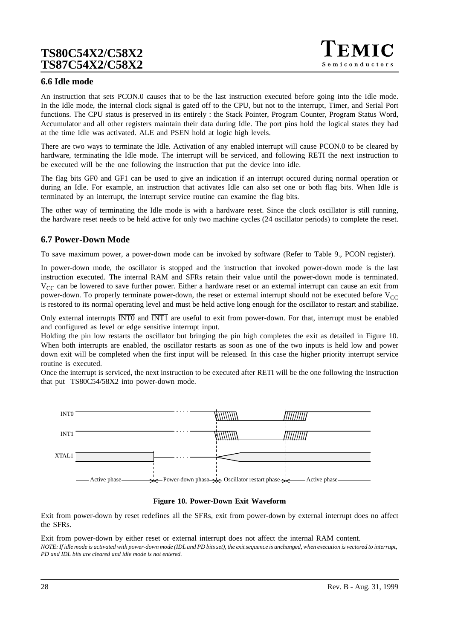![](_page_27_Picture_1.jpeg)

### **6.6 Idle mode**

An instruction that sets PCON.0 causes that to be the last instruction executed before going into the Idle mode. In the Idle mode, the internal clock signal is gated off to the CPU, but not to the interrupt, Timer, and Serial Port functions. The CPU status is preserved in its entirely : the Stack Pointer, Program Counter, Program Status Word, Accumulator and all other registers maintain their data during Idle. The port pins hold the logical states they had at the time Idle was activated. ALE and PSEN hold at logic high levels.

There are two ways to terminate the Idle. Activation of any enabled interrupt will cause PCON.0 to be cleared by hardware, terminating the Idle mode. The interrupt will be serviced, and following RETI the next instruction to be executed will be the one following the instruction that put the device into idle.

The flag bits GF0 and GF1 can be used to give an indication if an interrupt occured during normal operation or during an Idle. For example, an instruction that activates Idle can also set one or both flag bits. When Idle is terminated by an interrupt, the interrupt service routine can examine the flag bits.

The other way of terminating the Idle mode is with a hardware reset. Since the clock oscillator is still running, the hardware reset needs to be held active for only two machine cycles (24 oscillator periods) to complete the reset.

## **6.7 Power-Down Mode**

To save maximum power, a power-down mode can be invoked by software (Refer to Table 9., PCON register).

In power-down mode, the oscillator is stopped and the instruction that invoked power-down mode is the last instruction executed. The internal RAM and SFRs retain their value until the power-down mode is terminated.  $V_{CC}$  can be lowered to save further power. Either a hardware reset or an external interrupt can cause an exit from power-down. To properly terminate power-down, the reset or external interrupt should not be executed before  $V_{CC}$ is restored to its normal operating level and must be held active long enough for the oscillator to restart and stabilize.

Only external interrupts INT0 and INT1 are useful to exit from power-down. For that, interrupt must be enabled and configured as level or edge sensitive interrupt input.

Holding the pin low restarts the oscillator but bringing the pin high completes the exit as detailed in Figure 10. When both interrupts are enabled, the oscillator restarts as soon as one of the two inputs is held low and power down exit will be completed when the first input will be released. In this case the higher priority interrupt service routine is executed.

Once the interrupt is serviced, the next instruction to be executed after RETI will be the one following the instruction that put TS80C54/58X2 into power-down mode.

![](_page_27_Figure_13.jpeg)

#### **Figure 10. Power-Down Exit Waveform**

Exit from power-down by reset redefines all the SFRs, exit from power-down by external interrupt does no affect the SFRs.

Exit from power-down by either reset or external interrupt does not affect the internal RAM content. *NOTE: If idle mode is activated with power-down mode (IDL and PD bits set), the exit sequence is unchanged, when execution is vectored to interrupt, PD and IDL bits are cleared and idle mode is not entered.*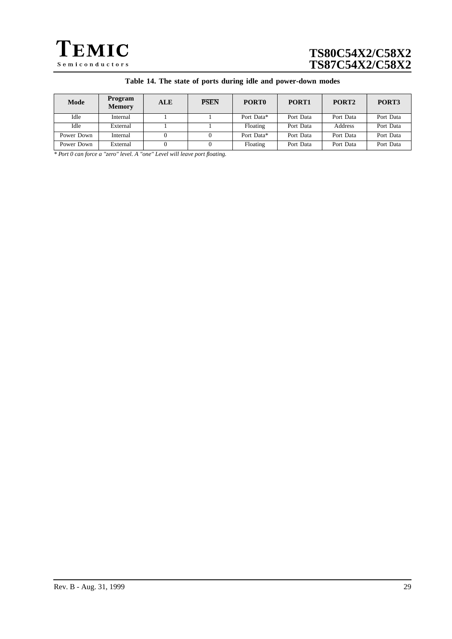![](_page_28_Picture_0.jpeg)

| Mode       | Program<br><b>Memory</b> | <b>ALE</b> | <b>PSEN</b> | PORT <sub>0</sub> | PORT <sub>1</sub> | PORT <sub>2</sub> | PORT3     |
|------------|--------------------------|------------|-------------|-------------------|-------------------|-------------------|-----------|
| Idle       | Internal                 |            |             | Port Data*        | Port Data         | Port Data         | Port Data |
| Idle       | External                 |            |             | Floating          | Port Data         | Address           | Port Data |
| Power Down | Internal                 |            |             | Port Data*        | Port Data         | Port Data         | Port Data |
| Power Down | External                 |            |             | Floating          | Port Data         | Port Data         | Port Data |

*\* Port 0 can force a "zero" level. A "one" Level will leave port floating.*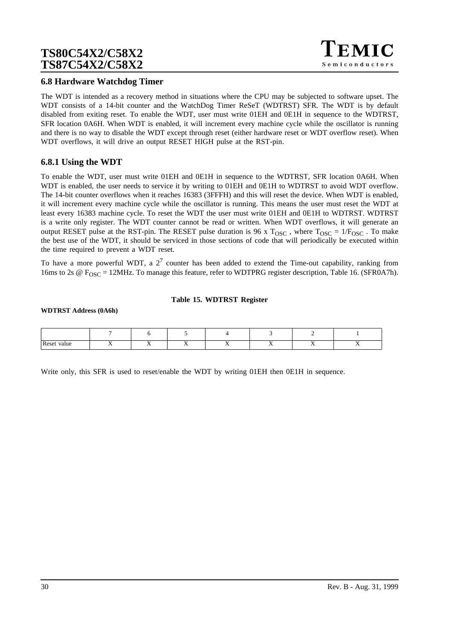## **6.8 Hardware Watchdog Timer**

The WDT is intended as a recovery method in situations where the CPU may be subjected to software upset. The WDT consists of a 14-bit counter and the WatchDog Timer ReSeT (WDTRST) SFR. The WDT is by default disabled from exiting reset. To enable the WDT, user must write 01EH and 0E1H in sequence to the WDTRST, SFR location 0A6H. When WDT is enabled, it will increment every machine cycle while the oscillator is running and there is no way to disable the WDT except through reset (either hardware reset or WDT overflow reset). When WDT overflows, it will drive an output RESET HIGH pulse at the RST-pin.

### **6.8.1 Using the WDT**

To enable the WDT, user must write 01EH and 0E1H in sequence to the WDTRST, SFR location 0A6H. When WDT is enabled, the user needs to service it by writing to 01EH and 0E1H to WDTRST to avoid WDT overflow. The 14-bit counter overflows when it reaches 16383 (3FFFH) and this will reset the device. When WDT is enabled, it will increment every machine cycle while the oscillator is running. This means the user must reset the WDT at least every 16383 machine cycle. To reset the WDT the user must write 01EH and 0E1H to WDTRST. WDTRST is a write only register. The WDT counter cannot be read or written. When WDT overflows, it will generate an output RESET pulse at the RST-pin. The RESET pulse duration is 96 x  $T_{\text{OSC}}$ , where  $T_{\text{OSC}} = 1/F_{\text{OSC}}$ . To make the best use of the WDT, it should be serviced in those sections of code that will periodically be executed within the time required to prevent a WDT reset.

To have a more powerful WDT, a  $2<sup>7</sup>$  counter has been added to extend the Time-out capability, ranking from 16ms to 2s  $\omega$  F<sub>OSC</sub> = 12MHz. To manage this feature, refer to WDTPRG register description, [Table 16.](#page-30-0) (SFR0A7h).

#### **Table 15. WDTRST Register**

#### **WDTRST Address (0A6h)**

| Reset<br>value |  |  | . . | . . |
|----------------|--|--|-----|-----|

Write only, this SFR is used to reset/enable the WDT by writing 01EH then 0E1H in sequence.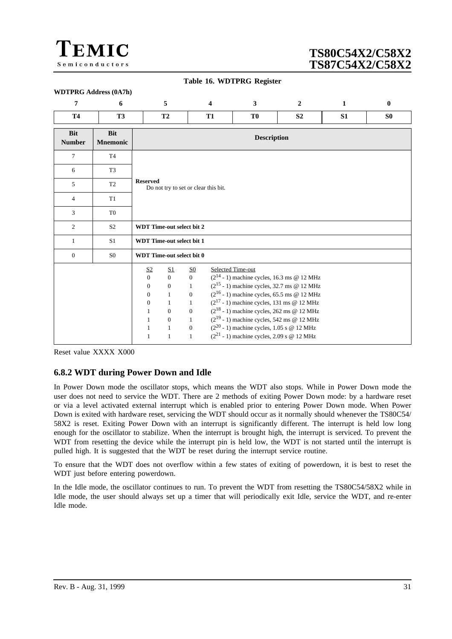<span id="page-30-0"></span>![](_page_30_Picture_0.jpeg)

**WDTPRG Address (0A7h)**

# **TS80C54X2/C58X2 TS87C54X2/C58X2**

| Table 16. WDTPRG Register |  |  |  |  |
|---------------------------|--|--|--|--|
|---------------------------|--|--|--|--|

| $\overline{7}$              | 6                             |                                                                                                                                         | 5                                                                                                                                                        | 4                                                                                                                                                | 3                                                                                                                                                                                                                                                                                                                                                                                                                                    | $\overline{2}$ | 1              | $\bf{0}$       |  |  |
|-----------------------------|-------------------------------|-----------------------------------------------------------------------------------------------------------------------------------------|----------------------------------------------------------------------------------------------------------------------------------------------------------|--------------------------------------------------------------------------------------------------------------------------------------------------|--------------------------------------------------------------------------------------------------------------------------------------------------------------------------------------------------------------------------------------------------------------------------------------------------------------------------------------------------------------------------------------------------------------------------------------|----------------|----------------|----------------|--|--|
| <b>T4</b>                   | <b>T3</b>                     |                                                                                                                                         | <b>T2</b>                                                                                                                                                | <b>T1</b>                                                                                                                                        | T <sub>0</sub>                                                                                                                                                                                                                                                                                                                                                                                                                       | S <sub>2</sub> | S <sub>1</sub> | S <sub>0</sub> |  |  |
| <b>Bit</b><br><b>Number</b> | <b>Bit</b><br><b>Mnemonic</b> | <b>Description</b>                                                                                                                      |                                                                                                                                                          |                                                                                                                                                  |                                                                                                                                                                                                                                                                                                                                                                                                                                      |                |                |                |  |  |
| 7                           | T <sub>4</sub>                |                                                                                                                                         |                                                                                                                                                          |                                                                                                                                                  |                                                                                                                                                                                                                                                                                                                                                                                                                                      |                |                |                |  |  |
| 6                           | T <sub>3</sub>                |                                                                                                                                         |                                                                                                                                                          |                                                                                                                                                  |                                                                                                                                                                                                                                                                                                                                                                                                                                      |                |                |                |  |  |
| 5                           | T <sub>2</sub>                | <b>Reserved</b>                                                                                                                         |                                                                                                                                                          | Do not try to set or clear this bit.                                                                                                             |                                                                                                                                                                                                                                                                                                                                                                                                                                      |                |                |                |  |  |
| $\overline{4}$              | T <sub>1</sub>                |                                                                                                                                         |                                                                                                                                                          |                                                                                                                                                  |                                                                                                                                                                                                                                                                                                                                                                                                                                      |                |                |                |  |  |
| 3                           | T <sub>0</sub>                |                                                                                                                                         |                                                                                                                                                          |                                                                                                                                                  |                                                                                                                                                                                                                                                                                                                                                                                                                                      |                |                |                |  |  |
| $\mathfrak{2}$              | S <sub>2</sub>                |                                                                                                                                         | <b>WDT Time-out select bit 2</b>                                                                                                                         |                                                                                                                                                  |                                                                                                                                                                                                                                                                                                                                                                                                                                      |                |                |                |  |  |
| $\mathbf{1}$                | S <sub>1</sub>                |                                                                                                                                         | <b>WDT Time-out select bit 1</b>                                                                                                                         |                                                                                                                                                  |                                                                                                                                                                                                                                                                                                                                                                                                                                      |                |                |                |  |  |
| $\overline{0}$              | S <sub>0</sub>                |                                                                                                                                         | <b>WDT</b> Time-out select bit 0                                                                                                                         |                                                                                                                                                  |                                                                                                                                                                                                                                                                                                                                                                                                                                      |                |                |                |  |  |
|                             |                               | S <sub>2</sub><br>$\overline{0}$<br>$\mathbf{0}$<br>$\overline{0}$<br>$\mathbf{0}$<br>$\mathbf{1}$<br>1<br>$\mathbf{1}$<br>$\mathbf{1}$ | S <sub>1</sub><br>$\overline{0}$<br>$\boldsymbol{0}$<br>$\mathbf{1}$<br>$\mathbf{1}$<br>$\mathbf{0}$<br>$\boldsymbol{0}$<br>$\mathbf{1}$<br>$\mathbf{1}$ | S <sub>0</sub><br>$\overline{0}$<br>$\mathbf{1}$<br>$\mathbf{0}$<br>$\mathbf{1}$<br>$\mathbf{0}$<br>$\mathbf{1}$<br>$\mathbf{0}$<br>$\mathbf{1}$ | Selected Time-out<br>$(2^{14} - 1)$ machine cycles, 16.3 ms @ 12 MHz<br>$(2^{15} - 1)$ machine cycles, 32.7 ms @ 12 MHz<br>$(2^{16} - 1)$ machine cycles, 65.5 ms @ 12 MHz<br>$(2^{17} - 1)$ machine cycles, 131 ms @ 12 MHz<br>$(2^{18} - 1)$ machine cycles, 262 ms @ 12 MHz<br>$(2^{19} - 1)$ machine cycles, 542 ms @ 12 MHz<br>$(2^{20} - 1)$ machine cycles, 1.05 s @ 12 MHz<br>$(2^{21} - 1)$ machine cycles, 2.09 s @ 12 MHz |                |                |                |  |  |

Reset value XXXX X000

## **6.8.2 WDT during Power Down and Idle**

In Power Down mode the oscillator stops, which means the WDT also stops. While in Power Down mode the user does not need to service the WDT. There are 2 methods of exiting Power Down mode: by a hardware reset or via a level activated external interrupt which is enabled prior to entering Power Down mode. When Power Down is exited with hardware reset, servicing the WDT should occur as it normally should whenever the TS80C54/ 58X2 is reset. Exiting Power Down with an interrupt is significantly different. The interrupt is held low long enough for the oscillator to stabilize. When the interrupt is brought high, the interrupt is serviced. To prevent the WDT from resetting the device while the interrupt pin is held low, the WDT is not started until the interrupt is pulled high. It is suggested that the WDT be reset during the interrupt service routine.

To ensure that the WDT does not overflow within a few states of exiting of powerdown, it is best to reset the WDT just before entering powerdown.

In the Idle mode, the oscillator continues to run. To prevent the WDT from resetting the TS80C54/58X2 while in Idle mode, the user should always set up a timer that will periodically exit Idle, service the WDT, and re-enter Idle mode.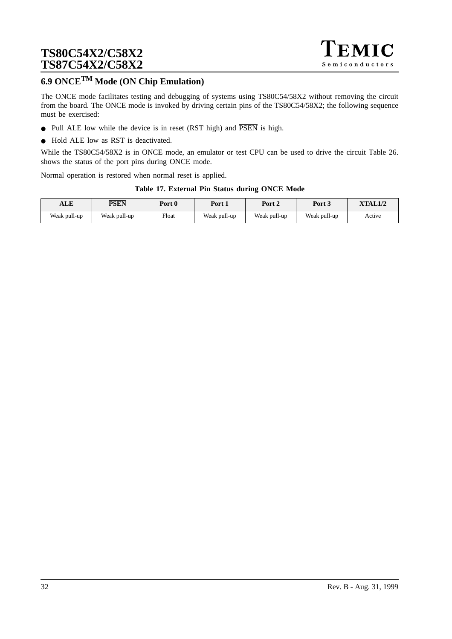![](_page_31_Picture_1.jpeg)

# **6.9 ONCETM Mode (ON Chip Emulation)**

The ONCE mode facilitates testing and debugging of systems using TS80C54/58X2 without removing the circuit from the board. The ONCE mode is invoked by driving certain pins of the TS80C54/58X2; the following sequence must be exercised:

- Pull ALE low while the device is in reset (RST high) and  $\overline{PSEN}$  is high.
- Hold ALE low as RST is deactivated.

While the TS80C54/58X2 is in ONCE mode, an emulator or test CPU can be used to drive the circuit Table 26. shows the status of the port pins during ONCE mode.

Normal operation is restored when normal reset is applied.

#### **Table 17. External Pin Status during ONCE Mode**

| ALE          | <b>PSEN</b>  | Port 0 | Port 1       | Port 2       | Port 3       | <b>XTAL1/2</b> |
|--------------|--------------|--------|--------------|--------------|--------------|----------------|
| Weak pull-up | Weak pull-up | Float  | Weak pull-up | Weak pull-up | Weak pull-up | Active         |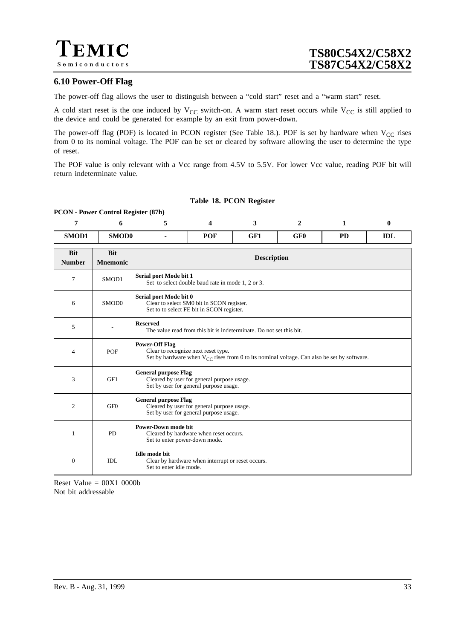## **6.10 Power-Off Flag**

The power-off flag allows the user to distinguish between a "cold start" reset and a "warm start" reset.

A cold start reset is the one induced by  $V_{CC}$  switch-on. A warm start reset occurs while  $V_{CC}$  is still applied to the device and could be generated for example by an exit from power-down.

The power-off flag (POF) is located in PCON register (See Table 18.). POF is set by hardware when  $V_{CC}$  rises from 0 to its nominal voltage. The POF can be set or cleared by software allowing the user to determine the type of reset.

The POF value is only relevant with a Vcc range from 4.5V to 5.5V. For lower Vcc value, reading POF bit will return indeterminate value.

#### **Table 18. PCON Register**

#### **7 6 5 4 3 2 1 0 SMOD1 SMOD0 - POF GF1 GF0 PD IDL Bit Number Bit Mnemonic Description** <sup>7</sup> SMOD1 **Serial port Mode bit 1** Set to select double baud rate in mode 1, 2 or 3. 6 SMOD0 **Serial port Mode bit 0** Clear to select SM0 bit in SCON register. Set to to select FE bit in SCON register. <sup>5</sup> - **Reserved** The value read from this bit is indeterminate. Do not set this bit. 4 POF **Power-Off Flag** Clear to recognize next reset type. Set by hardware when  $V_{CC}$  rises from 0 to its nominal voltage. Can also be set by software. 3 GF1 **General purpose Flag** Cleared by user for general purpose usage. Set by user for general purpose usage. 2  $\qquad \qquad$  GF0 **General purpose Flag** Cleared by user for general purpose usage. Set by user for general purpose usage. 1 PD **Power-Down mode bit** Cleared by hardware when reset occurs. Set to enter power-down mode.  $0$  IDL **Idle mode bit** Clear by hardware when interrupt or reset occurs. Set to enter idle mode.

**PCON - Power Control Register (87h)**

Reset Value  $= 00X1 0000b$ Not bit addressable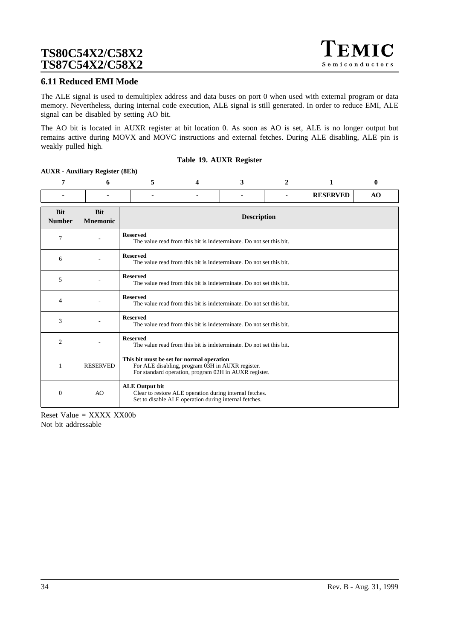### **6.11 Reduced EMI Mode**

The ALE signal is used to demultiplex address and data buses on port 0 when used with external program or data memory. Nevertheless, during internal code execution, ALE signal is still generated. In order to reduce EMI, ALE signal can be disabled by setting AO bit.

The AO bit is located in AUXR register at bit location 0. As soon as AO is set, ALE is no longer output but remains active during MOVX and MOVC instructions and external fetches. During ALE disabling, ALE pin is weakly pulled high.

#### **Table 19. AUXR Register**

### **AUXR - Auxiliary Register (8Eh)**

| 7                           | 6                             | 5                                                                                                                                         | 4                                                                                                                                                      | 3 | $\mathbf{2}$ | 1               | 0  |  |  |  |
|-----------------------------|-------------------------------|-------------------------------------------------------------------------------------------------------------------------------------------|--------------------------------------------------------------------------------------------------------------------------------------------------------|---|--------------|-----------------|----|--|--|--|
|                             |                               |                                                                                                                                           |                                                                                                                                                        |   |              | <b>RESERVED</b> | AO |  |  |  |
| <b>Bit</b><br><b>Number</b> | <b>Rit</b><br><b>Mnemonic</b> |                                                                                                                                           | <b>Description</b>                                                                                                                                     |   |              |                 |    |  |  |  |
| 7                           |                               | <b>Reserved</b>                                                                                                                           | The value read from this bit is indeterminate. Do not set this bit.                                                                                    |   |              |                 |    |  |  |  |
| 6                           |                               | <b>Reserved</b>                                                                                                                           | The value read from this bit is indeterminate. Do not set this bit.                                                                                    |   |              |                 |    |  |  |  |
| 5                           |                               | <b>Reserved</b>                                                                                                                           | The value read from this bit is indeterminate. Do not set this bit.                                                                                    |   |              |                 |    |  |  |  |
| 4                           |                               | <b>Reserved</b>                                                                                                                           | The value read from this bit is indeterminate. Do not set this bit.                                                                                    |   |              |                 |    |  |  |  |
| 3                           |                               | <b>Reserved</b>                                                                                                                           | The value read from this bit is indeterminate. Do not set this bit.                                                                                    |   |              |                 |    |  |  |  |
| 2                           |                               | <b>Reserved</b>                                                                                                                           | The value read from this bit is indeterminate. Do not set this bit.                                                                                    |   |              |                 |    |  |  |  |
| 1                           | <b>RESERVED</b>               |                                                                                                                                           | This bit must be set for normal operation<br>For ALE disabling, program 03H in AUXR register.<br>For standard operation, program 02H in AUXR register. |   |              |                 |    |  |  |  |
| $\Omega$                    | AO.                           | <b>ALE Output bit</b><br>Clear to restore ALE operation during internal fetches.<br>Set to disable ALE operation during internal fetches. |                                                                                                                                                        |   |              |                 |    |  |  |  |

Reset Value  $=$  XXXX XX00b Not bit addressable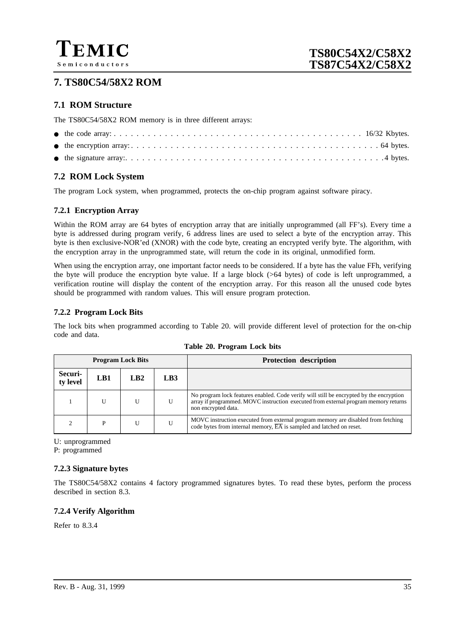![](_page_34_Picture_0.jpeg)

## **7. TS80C54/58X2 ROM**

## **7.1 ROM Structure**

The TS80C54/58X2 ROM memory is in three different arrays:

## **7.2 ROM Lock System**

The program Lock system, when programmed, protects the on-chip program against software piracy.

## **7.2.1 Encryption Array**

Within the ROM array are 64 bytes of encryption array that are initially unprogrammed (all FF's). Every time a byte is addressed during program verify, 6 address lines are used to select a byte of the encryption array. This byte is then exclusive-NOR'ed (XNOR) with the code byte, creating an encrypted verify byte. The algorithm, with the encryption array in the unprogrammed state, will return the code in its original, unmodified form.

When using the encryption array, one important factor needs to be considered. If a byte has the value FFh, verifying the byte will produce the encryption byte value. If a large block (>64 bytes) of code is left unprogrammed, a verification routine will display the content of the encryption array. For this reason all the unused code bytes should be programmed with random values. This will ensure program protection.

### **7.2.2 Program Lock Bits**

The lock bits when programmed according to Table 20. will provide different level of protection for the on-chip code and data.

| <b>Program Lock Bits</b> |     |     |     | <b>Protection description</b>                                                                                                                                                                         |
|--------------------------|-----|-----|-----|-------------------------------------------------------------------------------------------------------------------------------------------------------------------------------------------------------|
| Securi-<br>ty level      | LB1 | LR2 | LB3 |                                                                                                                                                                                                       |
|                          |     |     | U   | No program lock features enabled. Code verify will still be encrypted by the encryption<br>array if programmed. MOVC instruction executed from external program memory returns<br>non encrypted data. |
|                          | P   |     | U   | MOVC instruction executed from external program memory are disabled from fetching<br>code bytes from internal memory, $\overline{EA}$ is sampled and latched on reset.                                |

**Table 20. Program Lock bits**

U: unprogrammed

P: programmed

## **7.2.3 Signature bytes**

The TS80C54/58X2 contains 4 factory programmed signatures bytes. To read these bytes, perform the process described in section 8.3.

## **7.2.4 Verify Algorithm**

Refer to 8.3.4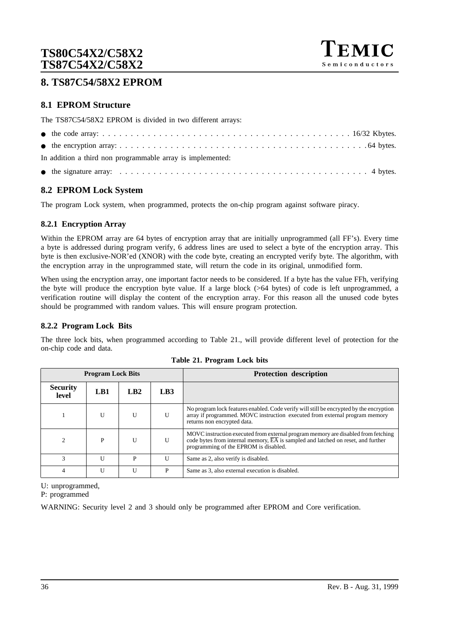![](_page_35_Picture_1.jpeg)

## **8. TS87C54/58X2 EPROM**

## **8.1 EPROM Structure**

The TS87C54/58X2 EPROM is divided in two different arrays:

| In addition a third non programmable array is implemented: |
|------------------------------------------------------------|
|                                                            |

## **8.2 EPROM Lock System**

The program Lock system, when programmed, protects the on-chip program against software piracy.

### **8.2.1 Encryption Array**

Within the EPROM array are 64 bytes of encryption array that are initially unprogrammed (all FF's). Every time a byte is addressed during program verify, 6 address lines are used to select a byte of the encryption array. This byte is then exclusive-NOR'ed (XNOR) with the code byte, creating an encrypted verify byte. The algorithm, with the encryption array in the unprogrammed state, will return the code in its original, unmodified form.

When using the encryption array, one important factor needs to be considered. If a byte has the value FFh, verifying the byte will produce the encryption byte value. If a large block (>64 bytes) of code is left unprogrammed, a verification routine will display the content of the encryption array. For this reason all the unused code bytes should be programmed with random values. This will ensure program protection.

### **8.2.2 Program Lock Bits**

The three lock bits, when programmed according to Table 21., will provide different level of protection for the on-chip code and data.

| <b>Program Lock Bits</b> |              |                 |              | <b>Protection description</b>                                                                                                                                                                                               |
|--------------------------|--------------|-----------------|--------------|-----------------------------------------------------------------------------------------------------------------------------------------------------------------------------------------------------------------------------|
| <b>Security</b><br>level | LB1          | LB <sub>2</sub> | LB3          |                                                                                                                                                                                                                             |
|                          | U            | U               | U            | No program lock features enabled. Code verify will still be encrypted by the encryption<br>array if programmed. MOVC instruction executed from external program memory<br>returns non encrypted data.                       |
| $\mathfrak{D}$           | P            | $\mathbf{U}$    | $\mathbf{U}$ | MOVC instruction executed from external program memory are disabled from fetching<br>code bytes from internal memory, $\overline{EA}$ is sampled and latched on reset, and further<br>programming of the EPROM is disabled. |
| 3                        | $\mathbf{I}$ | P               | $\mathbf{U}$ | Same as 2, also verify is disabled.                                                                                                                                                                                         |
| $\overline{4}$           | $\mathbf{I}$ | U               | P            | Same as 3, also external execution is disabled.                                                                                                                                                                             |

**Table 21. Program Lock bits**

U: unprogrammed,

P: programmed

WARNING: Security level 2 and 3 should only be programmed after EPROM and Core verification.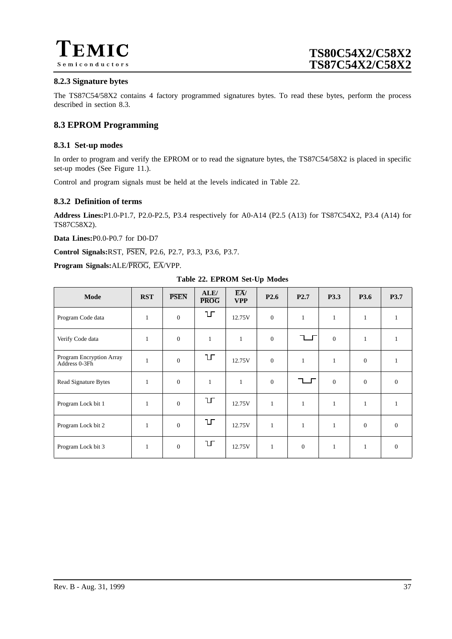![](_page_36_Picture_0.jpeg)

### **8.2.3 Signature bytes**

The TS87C54/58X2 contains 4 factory programmed signatures bytes. To read these bytes, perform the process described in section 8.3.

## **8.3 EPROM Programming**

### **8.3.1 Set-up modes**

In order to program and verify the EPROM or to read the signature bytes, the TS87C54/58X2 is placed in specific set-up modes (See [Figure 11.\).](#page-37-0)

Control and program signals must be held at the levels indicated in Table 22.

### **8.3.2 Definition of terms**

**Address Lines:**P1.0-P1.7, P2.0-P2.5, P3.4 respectively for A0-A14 (P2.5 (A13) for TS87C54X2, P3.4 (A14) for TS87C58X2).

**Data Lines:**P0.0-P0.7 for D0-D7

**Control Signals:**RST, PSEN, P2.6, P2.7, P3.3, P3.6, P3.7.

**Program Signals:**ALE/PROG, EA/VPP.

**Table 22. EPROM Set-Up Modes**

| Mode                                      | <b>RST</b>   | <b>PSEN</b>      | ALE/<br>$\overline{\text{PROG}}$ | $\overline{EA}$ /<br><b>VPP</b> | P <sub>2.6</sub> | P <sub>2.7</sub> | <b>P3.3</b>  | P3.6           | <b>P3.7</b>    |
|-------------------------------------------|--------------|------------------|----------------------------------|---------------------------------|------------------|------------------|--------------|----------------|----------------|
| Program Code data                         | $\mathbf{1}$ | $\boldsymbol{0}$ | Ц                                | 12.75V                          | $\mathbf{0}$     | $\mathbf{1}$     | $\mathbf{1}$ | $\mathbf{1}$   |                |
| Verify Code data                          | $\mathbf{1}$ | $\mathbf{0}$     | $\mathbf{1}$                     | $\mathbf{1}$                    | $\mathbf{0}$     |                  | $\mathbf{0}$ | $\mathbf{1}$   | 1              |
| Program Encryption Array<br>Address 0-3Fh | $\mathbf{1}$ | $\boldsymbol{0}$ | IГ                               | 12.75V                          | $\mathbf{0}$     | $\mathbf{1}$     | $\mathbf{1}$ | $\overline{0}$ | 1              |
| Read Signature Bytes                      | $\mathbf{1}$ | $\boldsymbol{0}$ | $\mathbf{1}$                     | $\mathbf{1}$                    | $\mathbf{0}$     |                  | $\mathbf{0}$ | $\Omega$       | $\mathbf{0}$   |
| Program Lock bit 1                        | 1            | $\overline{0}$   | Ц                                | 12.75V                          | $\mathbf{1}$     | $\mathbf{1}$     | $\mathbf{1}$ |                |                |
| Program Lock bit 2                        | $\mathbf{1}$ | $\mathbf{0}$     | ŢЦ                               | 12.75V                          | $\mathbf{1}$     | $\mathbf{1}$     | $\mathbf{1}$ | $\theta$       | $\overline{0}$ |
| Program Lock bit 3                        | 1            | $\mathbf{0}$     | IГ                               | 12.75V                          | 1                | $\mathbf{0}$     | $\mathbf{1}$ | $\mathbf{1}$   | $\mathbf{0}$   |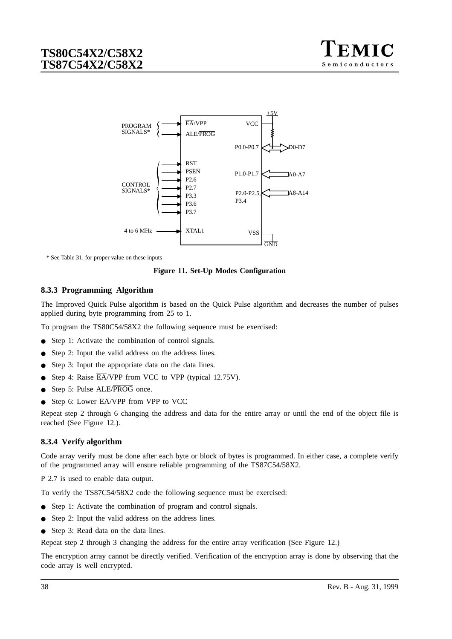![](_page_37_Picture_1.jpeg)

<span id="page-37-0"></span>![](_page_37_Figure_2.jpeg)

\* See Table 31. for proper value on these inputs

**Figure 11. Set-Up Modes Configuration**

### **8.3.3 Programming Algorithm**

The Improved Quick Pulse algorithm is based on the Quick Pulse algorithm and decreases the number of pulses applied during byte programming from 25 to 1.

To program the TS80C54/58X2 the following sequence must be exercised:

- Step 1: Activate the combination of control signals.
- Step 2: Input the valid address on the address lines.
- Step 3: Input the appropriate data on the data lines.
- Step 4: Raise  $\overline{EA}$ /VPP from VCC to VPP (typical 12.75V).
- Step 5: Pulse ALE/PROG once.
- Step 6: Lower  $\overline{EA}/VPP$  from VPP to VCC

Repeat step 2 through 6 changing the address and data for the entire array or until the end of the object file is reached (See [Figure 12.\)](#page-38-0).

#### **8.3.4 Verify algorithm**

Code array verify must be done after each byte or block of bytes is programmed. In either case, a complete verify of the programmed array will ensure reliable programming of the TS87C54/58X2.

P 2.7 is used to enable data output.

To verify the TS87C54/58X2 code the following sequence must be exercised:

- Step 1: Activate the combination of program and control signals.
- Step 2: Input the valid address on the address lines.
- Step 3: Read data on the data lines.

Repeat step 2 through 3 changing the address for the entire array verification (See Figu[re 12.\)](#page-38-0)

The encryption array cannot be directly verified. Verification of the encryption array is done by observing that the code array is well encrypted.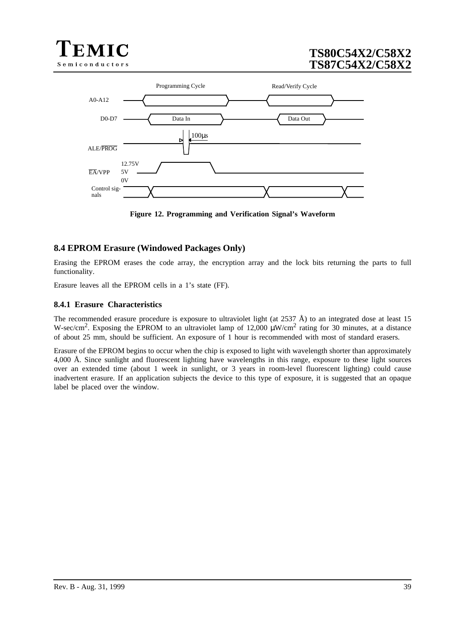<span id="page-38-0"></span>![](_page_38_Picture_0.jpeg)

![](_page_38_Figure_2.jpeg)

**Figure 12. Programming and Verification Signal's Waveform**

## **8.4 EPROM Erasure (Windowed Packages Only)**

Erasing the EPROM erases the code array, the encryption array and the lock bits returning the parts to full functionality.

Erasure leaves all the EPROM cells in a 1's state (FF).

### **8.4.1 Erasure Characteristics**

The recommended erasure procedure is exposure to ultraviolet light (at 2537  $\rm \AA$ ) to an integrated dose at least 15 W-sec/cm<sup>2</sup>. Exposing the EPROM to an ultraviolet lamp of 12,000  $\mu$ W/cm<sup>2</sup> rating for 30 minutes, at a distance of about 25 mm, should be sufficient. An exposure of 1 hour is recommended with most of standard erasers.

Erasure of the EPROM begins to occur when the chip is exposed to light with wavelength shorter than approximately 4,000 Å. Since sunlight and fluorescent lighting have wavelengths in this range, exposure to these light sources over an extended time (about 1 week in sunlight, or 3 years in room-level fluorescent lighting) could cause inadvertent erasure. If an application subjects the device to this type of exposure, it is suggested that an opaque label be placed over the window.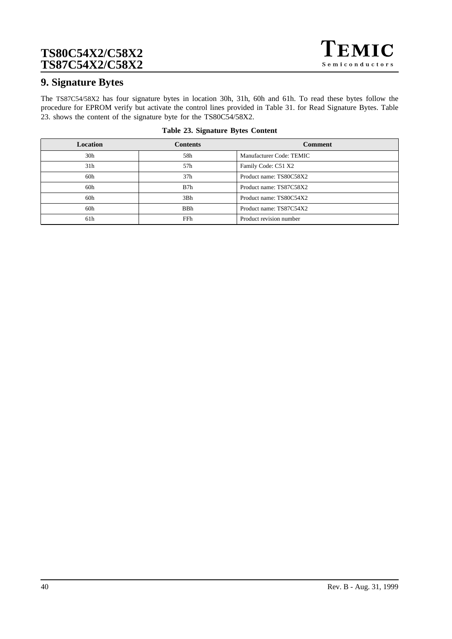![](_page_39_Picture_1.jpeg)

## **9. Signature Bytes**

The TS87C54/58X2 has four signature bytes in location 30h, 31h, 60h and 61h. To read these bytes follow the procedure for EPROM verify but activate the control lines provided in Table 31. for Read Signature Bytes. Table 23. shows the content of the signature byte for the TS80C54/58X2.

| Location        | <b>Contents</b> | <b>Comment</b>           |
|-----------------|-----------------|--------------------------|
| 30 <sub>h</sub> | 58h             | Manufacturer Code: TEMIC |
| 31 <sub>h</sub> | 57h             | Family Code: C51 X2      |
| 60h             | 37 <sub>h</sub> | Product name: TS80C58X2  |
| 60h             | B7h             | Product name: TS87C58X2  |
| 60h             | 3Bh             | Product name: TS80C54X2  |
| 60h             | <b>BBh</b>      | Product name: TS87C54X2  |
| 61h             | FFh             | Product revision number  |

#### **Table 23. Signature Bytes Content**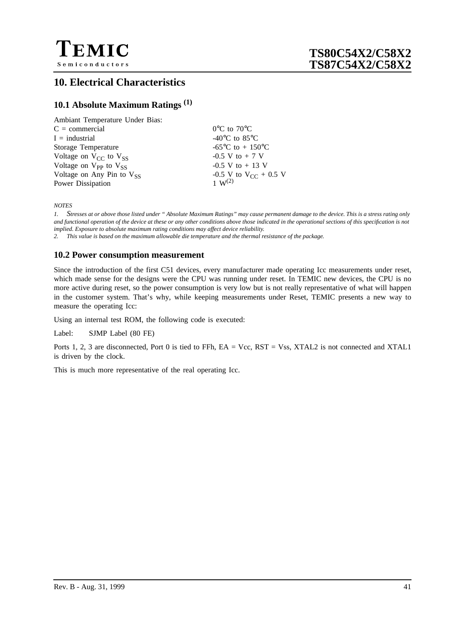![](_page_40_Picture_0.jpeg)

# **10. Electrical Characteristics**

## **10.1 Absolute Maximum Ratings (1)**

| Ambiant Temperature Under Bias: |                                             |
|---------------------------------|---------------------------------------------|
| $C = \text{commercial}$         | $0^{\circ}$ C to $70^{\circ}$ C             |
| $I =$ industrial                | -40 $\rm{^{\circ}C}$ to 85 $\rm{^{\circ}C}$ |
| Storage Temperature             | -65 <sup>o</sup> C to + 150 <sup>o</sup> C  |
| Voltage on $V_{CC}$ to $V_{SS}$ | $-0.5$ V to $+7$ V                          |
| Voltage on $V_{PP}$ to $V_{SS}$ | $-0.5$ V to $+13$ V                         |
| Voltage on Any Pin to $V_{SS}$  | -0.5 V to $V_{CC}$ + 0.5 V                  |
| Power Dissipation               | $1 \, \text{W}^{(2)}$                       |
|                                 |                                             |

*NOTES*

*1. Stresses at or above those listed under " Absolute Maximum Ratings" may cause permanent damage to the device. This is a stress rating only and functional operation of the device at these or any other conditions above those indicated in the operational sections of this specification is not implied. Exposure to absolute maximum rating conditions may affect device reliability.*

*2. This value is based on the maximum allowable die temperature and the thermal resistance of the package.*

### **10.2 Power consumption measurement**

Since the introduction of the first C51 devices, every manufacturer made operating Icc measurements under reset, which made sense for the designs were the CPU was running under reset. In TEMIC new devices, the CPU is no more active during reset, so the power consumption is very low but is not really representative of what will happen in the customer system. That's why, while keeping measurements under Reset, TEMIC presents a new way to measure the operating Icc:

Using an internal test ROM, the following code is executed:

Label: SJMP Label (80 FE)

Ports 1, 2, 3 are disconnected, Port 0 is tied to FFh, EA = Vcc, RST = Vss, XTAL2 is not connected and XTAL1 is driven by the clock.

This is much more representative of the real operating Icc.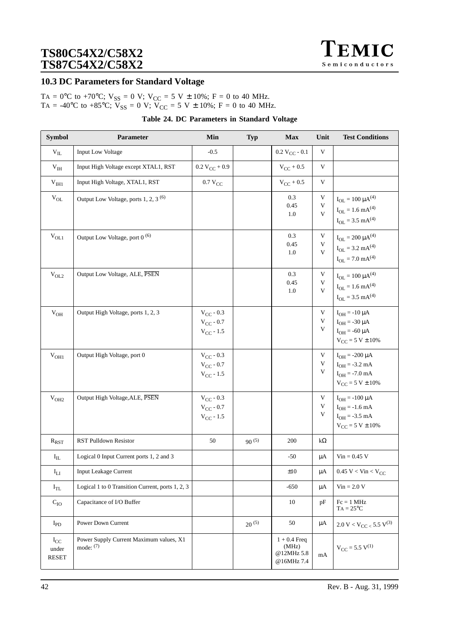![](_page_41_Picture_1.jpeg)

### **10.3 DC Parameters for Standard Voltage**

TA =  $0^{\circ}$ C to +70°C; V<sub>SS</sub> = 0 V; V<sub>CC</sub> = 5 V ± 10%; F = 0 to 40 MHz. TA = -40°C to +85°C;  $V_{SS} = 0$  V;  $V_{CC} = 5$  V  $\pm$  10%; F = 0 to 40 MHz.

| <b>Symbol</b>                     | Parameter                                              | Min                                                      | <b>Typ</b> | <b>Max</b>                                          | Unit                      | <b>Test Conditions</b>                                                                             |
|-----------------------------------|--------------------------------------------------------|----------------------------------------------------------|------------|-----------------------------------------------------|---------------------------|----------------------------------------------------------------------------------------------------|
| $\rm{V_{II.}}$                    | <b>Input Low Voltage</b>                               | $-0.5$                                                   |            | $0.2 V_{CC} - 0.1$                                  | $\ensuremath{\mathsf{V}}$ |                                                                                                    |
| $\rm V_{IH}$                      | Input High Voltage except XTAL1, RST                   | $0.2 V_{CC} + 0.9$                                       |            | $V_{CC}$ + 0.5                                      | $\mathbf V$               |                                                                                                    |
| $\rm V_{\rm IH1}$                 | Input High Voltage, XTAL1, RST                         | $0.7~\mathrm{V_{CC}}$                                    |            | $V_{CC}$ + 0.5                                      | V                         |                                                                                                    |
| $\rm V_{OL}$                      | Output Low Voltage, ports 1, 2, 3 <sup>(6)</sup>       |                                                          |            | 0.3<br>0.45<br>1.0                                  | $\mathbf V$<br>V<br>V     | $I_{OL} = 100 \mu A^{(4)}$<br>$I_{OL} = 1.6$ mA <sup>(4)</sup><br>$I_{OL} = 3.5$ mA <sup>(4)</sup> |
| $\rm V_{OL1}$                     | Output Low Voltage, port 0 <sup>(6)</sup>              |                                                          |            | 0.3<br>0.45<br>1.0                                  | V<br>V<br>V               | $I_{OL} = 200 \mu A^{(4)}$<br>$I_{OL} = 3.2$ mA <sup>(4)</sup><br>$I_{OL} = 7.0$ mA <sup>(4)</sup> |
| $\rm V_{OL2}$                     | Output Low Voltage, ALE, PSEN                          |                                                          |            | 0.3<br>0.45<br>1.0                                  | V<br>V<br>V               | $I_{OL} = 100 \mu A^{(4)}$<br>$I_{OL} = 1.6$ mA <sup>(4)</sup><br>$I_{OL} = 3.5$ mA <sup>(4)</sup> |
| $V_{OH}$                          | Output High Voltage, ports 1, 2, 3                     | $V_{CC}$ - 0.3<br>$V_{CC} - 0.7$<br>$V_{CC} - 1.5$       |            |                                                     | V<br>V<br>V               | $I_{OH} = -10 \mu A$<br>$I_{OH} = -30 \mu A$<br>$I_{OH} = -60 \mu A$<br>$V_{CC} = 5 V \pm 10\%$    |
| V <sub>OH1</sub>                  | Output High Voltage, port 0                            | $V_{CC}$ - 0.3<br>$V_{CC}$ - 0.7<br>$V_{CC}$ - 1.5       |            |                                                     | V<br>V<br>V               | $I_{OH} = -200 \mu A$<br>$I_{OH} = -3.2$ mA<br>$I_{OH} = -7.0$ mA<br>$V_{CC} = 5 V \pm 10\%$       |
| V <sub>OH2</sub>                  | Output High Voltage, ALE, PSEN                         | $\rm V_{CC}$ - $0.3$<br>$V_{CC}$ - 0.7<br>$V_{CC}$ - 1.5 |            |                                                     | V<br>V<br>V               | $I_{OH} = -100 \mu A$<br>$I_{OH} = -1.6$ mA<br>$I_{OH} = -3.5$ mA<br>$V_{CC} = 5 V \pm 10\%$       |
| $R_{RST}$                         | <b>RST Pulldown Resistor</b>                           | 50                                                       | $90^{(5)}$ | 200                                                 | $k\Omega$                 |                                                                                                    |
| $\mathbf{I}_{\rm IL}$             | Logical 0 Input Current ports 1, 2 and 3               |                                                          |            | $-50$                                               | $\mu A$                   | $Vin = 0.45$ V                                                                                     |
| $\mathbf{I}_{\text{LI}}$          | Input Leakage Current                                  |                                                          |            | $\pm 10$                                            | $\mu A$                   | $0.45$ V < Vin < V <sub>CC</sub>                                                                   |
| $I_{TL}$                          | Logical 1 to 0 Transition Current, ports 1, 2, 3       |                                                          |            | $-650$                                              | μA                        | $Vin = 2.0 V$                                                                                      |
| $C_{IO}$                          | Capacitance of I/O Buffer                              |                                                          |            | 10                                                  | pF                        | $Fc = 1 MHz$<br>$TA = 25^{\circ}C$                                                                 |
| $I_{PD}$                          | Power Down Current                                     |                                                          | $20^{(5)}$ | 50                                                  | μA                        | $2.0 \ V < V_{CC} < 5.5 \ V^{(3)}$                                                                 |
| $I_{CC}$<br>under<br><b>RESET</b> | Power Supply Current Maximum values, X1<br>mode: $(7)$ |                                                          |            | $1 + 0.4$ Freq<br>(MHz)<br>@12MHz 5.8<br>@16MHz 7.4 | mA                        | $V_{CC} = 5.5 V^{(1)}$                                                                             |

### **Table 24. DC Parameters in Standard Voltage**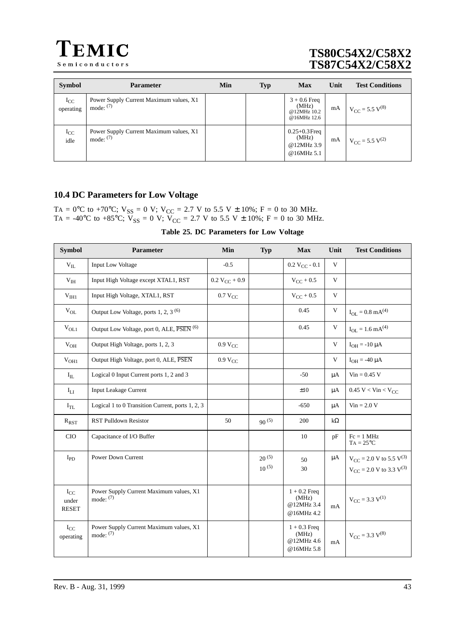![](_page_42_Picture_0.jpeg)

| <b>Symbol</b>         | <b>Parameter</b>                                       | Min | <b>Typ</b> | <b>Max</b>                                             | Unit | <b>Test Conditions</b>                |
|-----------------------|--------------------------------------------------------|-----|------------|--------------------------------------------------------|------|---------------------------------------|
| $I_{CC}$<br>operating | Power Supply Current Maximum values, X1<br>mode: $(7)$ |     |            | $3 + 0.6$ Freq<br>(MHz)<br>@12MHz 10.2<br>@16MHz 12.6  | mA   | $V_{\text{CC}} = 5.5 \text{ V}^{(8)}$ |
| $I_{CC}$<br>idle      | Power Supply Current Maximum values, X1<br>mode: $(7)$ |     |            | $0.25 + 0.3$ Freq<br>(MHz)<br>@12MHz 3.9<br>@16MHz 5.1 | mA   | $V_{\text{CC}} = 5.5 V^{(2)}$         |

## **10.4 DC Parameters for Low Voltage**

TA = 0°C to +70°C;  $V_{SS} = 0$  V;  $V_{CC} = 2.7$  V to 5.5 V  $\pm$  10%; F = 0 to 30 MHz. TA = -40°C to +85°C;  $V_{SS} = 0$  V;  $V_{CC} = 2.7$  V to 5.5 V  $\pm$  10%; F = 0 to 30 MHz.

**Table 25. DC Parameters for Low Voltage**

| <b>Symbol</b>                     | Parameter                                                         | Min                 | <b>Typ</b>               | <b>Max</b>                                          | Unit      | <b>Test Conditions</b>                                                 |
|-----------------------------------|-------------------------------------------------------------------|---------------------|--------------------------|-----------------------------------------------------|-----------|------------------------------------------------------------------------|
| $V_{IL}$                          | <b>Input Low Voltage</b>                                          | $-0.5$              |                          | $0.2 V_{CC} - 0.1$                                  | V         |                                                                        |
| $V_{IH}$                          | Input High Voltage except XTAL1, RST                              | $0.2 V_{CC} + 0.9$  |                          | $V_{CC}$ + 0.5                                      | V         |                                                                        |
| V <sub>HH1</sub>                  | Input High Voltage, XTAL1, RST                                    | $0.7 V_{CC}$        |                          | $V_{CC}$ + 0.5                                      | V         |                                                                        |
| $\rm V_{OL}$                      | Output Low Voltage, ports 1, 2, 3 <sup>(6)</sup>                  |                     |                          | 0.45                                                | V         | $I_{OL} = 0.8$ mA <sup>(4)</sup>                                       |
| $V_{OL1}$                         | Output Low Voltage, port 0, ALE, $\overline{PSEN}$ <sup>(6)</sup> |                     |                          | 0.45                                                | V         | $I_{OL} = 1.6$ mA <sup>(4)</sup>                                       |
| $\rm V_{OH}$                      | Output High Voltage, ports 1, 2, 3                                | 0.9 V <sub>CC</sub> |                          |                                                     | V         | $I_{OH} = -10 \mu A$                                                   |
| $V_{OH1}$                         | Output High Voltage, port 0, ALE, PSEN                            | 0.9 V <sub>CC</sub> |                          |                                                     | V         | $I_{OH} = -40 \mu A$                                                   |
| $I_{IL}$                          | Logical 0 Input Current ports 1, 2 and 3                          |                     |                          | $-50$                                               | $\mu A$   | $Vin = 0.45$ V                                                         |
| $I_{LI}$                          | <b>Input Leakage Current</b>                                      |                     |                          | $\pm 10$                                            | μA        | $0.45 \text{ V} < \text{V}$ in < $\text{V}_{\text{CC}}$                |
| $I_{TL}$                          | Logical 1 to 0 Transition Current, ports 1, 2, 3                  |                     |                          | $-650$                                              | μA        | $Vin = 2.0 V$                                                          |
| $R_{RST}$                         | <b>RST Pulldown Resistor</b>                                      | 50                  | $90^{(5)}$               | 200                                                 | $k\Omega$ |                                                                        |
| CIO                               | Capacitance of I/O Buffer                                         |                     |                          | 10                                                  | pF        | $Fc = 1 MHz$<br>$TA = 25^{\circ}C$                                     |
| $I_{PD}$                          | Power Down Current                                                |                     | $20^{(5)}$<br>$10^{(5)}$ | 50<br>30                                            | $\mu A$   | $V_{CC}$ = 2.0 V to 5.5 $V^{(3)}$<br>$V_{CC}$ = 2.0 V to 3.3 $V^{(3)}$ |
| $I_{CC}$<br>under<br><b>RESET</b> | Power Supply Current Maximum values, X1<br>mode: $(7)$            |                     |                          | $1 + 0.2$ Freq<br>(MHz)<br>@12MHz 3.4<br>@16MHz 4.2 | mA        | $V_{CC}$ = 3.3 $V^{(1)}$                                               |
| $I_{CC}$<br>operating             | Power Supply Current Maximum values, X1<br>mode: $(7)$            |                     |                          | $1 + 0.3$ Freq<br>(MHz)<br>@12MHz 4.6<br>@16MHz 5.8 | mA        | $V_{CC}$ = 3.3 $V^{(8)}$                                               |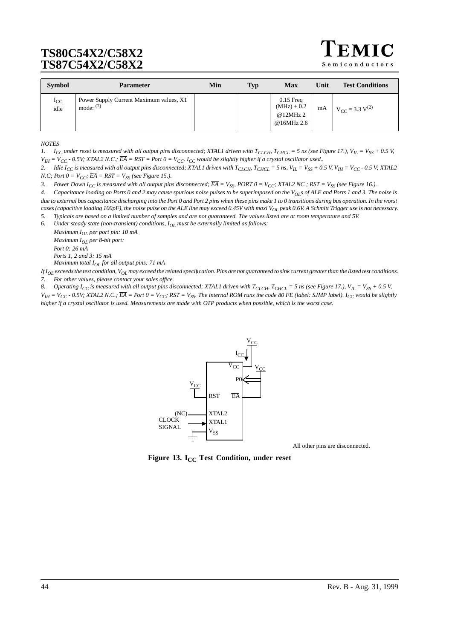Semiconductors

| <b>Symbol</b>    | <b>Parameter</b>                                       | Min | Typ | <b>Max</b>                                            | Unit | <b>Test Conditions</b>                              |
|------------------|--------------------------------------------------------|-----|-----|-------------------------------------------------------|------|-----------------------------------------------------|
| $I_{CC}$<br>idle | Power Supply Current Maximum values, X1<br>mode: $(7)$ |     |     | $0.15$ Freq<br>$(MHz) + 0.2$<br>@12MHz2<br>@16MHz 2.6 | mA   | <sup>1</sup> V <sub>CC</sub> = 3.3 V <sup>(2)</sup> |

*NOTES*

*1.*  $I_{CC}$  under reset is measured with all output pins disconnected; XTAL1 driven with  $T_{CLCH}$ ,  $T_{CHCL}$  = 5 ns (see [Figure 17.\)](#page-44-0),  $V_{IL} = V_{SS} + 0.5$  V,  $V_{IH} = V_{CC}$  - 0.5V; XTAL2 N.C.;  $\overline{EA} = RST = Port0 = V_{CC}$ .  $I_{CC}$  would be slightly higher if a crystal oscillator used..

2. *Idle I<sub>CC</sub> is measured with all output pins disconnected; XTAL1 driven with T<sub>CLCH</sub>, T<sub>CHCL</sub> = 5 ns, V<sub>IL</sub> = V<sub>SS</sub> + 0.5 V, V<sub>IH</sub> = V<sub>CC</sub> - 0.5 V; XTAL2 N.C; Port*  $0 = V_{CC}$ *;*  $\overline{EA} = RST = V_{SS}$  *(see [Figure 15.\)](#page-44-0).* 

3. Power Down  $I_{CC}$  is measured with all output pins disconnected;  $\overline{EA} = V_{SS}$  PORT  $0 = V_{CC}$ ; XTAL2 NC.; RST =  $V_{SS}$  (see [Figure 16.\)](#page-44-0).

*4. Capacitance loading on Ports 0 and 2 may cause spurious noise pulses to be superimposed on the VOLs of ALE and Ports 1 and 3. The noise is due to external bus capacitance discharging into the Port 0 and Port 2 pins when these pins make 1 to 0 transitions during bus operation. In the worst cases (capacitive loading 100pF), the noise pulse on the ALE line may exceed 0.45V with maxi VOL peak 0.6V. A Schmitt Trigger use is not necessary. 5. Typicals are based on a limited number of samples and are not guaranteed. The values listed are at room temperature and 5V.*

*6. Under steady state (non-transient) conditions, IOL must be externally limited as follows:*

*Maximum IOL per port pin: 10 mA Maximum IOL per 8-bit port: Port 0: 26 mA Ports 1, 2 and 3: 15 mA*

*Maximum total I<sub>OL</sub> for all output pins: 71 mA* 

 $If I_{OI}$  exceeds the test condition,  $V_{OI}$  *may exceed the related specification. Pins are not guaranteed to sink current greater than the listed test conditions. 7. For other values, please contact your sales office.*

8. Operating  $I_{CC}$  is measured with all output pins disconnected; XTAL1 driven with  $T_{CLCH}$ ,  $T_{CHCL}$  = 5 ns (see [Figure 17.\)](#page-44-0),  $V_{IL}$  =  $V_{SS}$  + 0.5 V,

 $V_{IH}$  =  $V_{CC}$  - 0.5V; XTAL2 N.C.;  $\overline{EA}$  = Port  $0 = V_{CC}$ ; RST =  $V_{SS}$ . The internal ROM runs the code 80 FE (label: SJMP label). I<sub>CC</sub> would be slightly *higher if a crystal oscillator is used. Measurements are made with OTP products when possible, which is the worst case.*

![](_page_43_Figure_14.jpeg)

All other pins are disconnected.

**Figure 13. I<sub>CC</sub> Test Condition, under reset**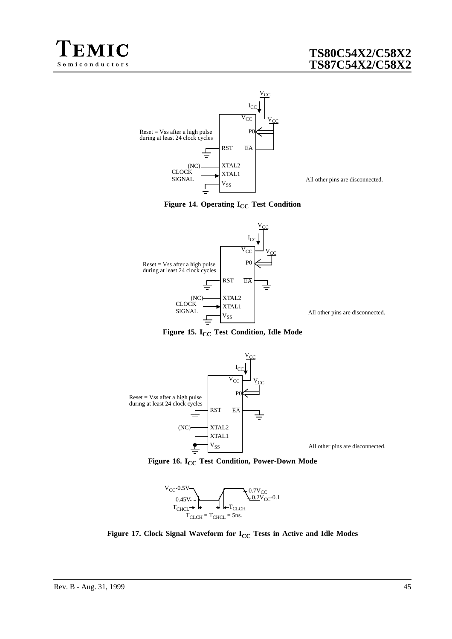<span id="page-44-0"></span>![](_page_44_Picture_0.jpeg)

![](_page_44_Figure_2.jpeg)

All other pins are disconnected.

![](_page_44_Figure_4.jpeg)

![](_page_44_Figure_5.jpeg)

**Figure 15. I<sub>CC</sub> Test Condition, Idle Mode** 

![](_page_44_Figure_7.jpeg)

Figure 16. I<sub>CC</sub> Test Condition, Power-Down Mode

![](_page_44_Figure_9.jpeg)

Figure 17. Clock Signal Waveform for I<sub>CC</sub> Tests in Active and Idle Modes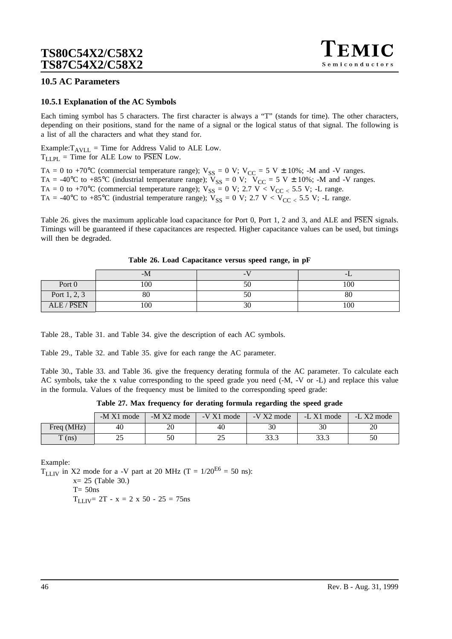## **10.5 AC Parameters**

### **10.5.1 Explanation of the AC Symbols**

Each timing symbol has 5 characters. The first character is always a "T" (stands for time). The other characters, depending on their positions, stand for the name of a signal or the logical status of that signal. The following is a list of all the characters and what they stand for.

Example: $T_{AVLL}$  = Time for Address Valid to ALE Low.  $T_{LLPI}$  = Time for ALE Low to  $\overline{PSEN}$  Low.

TA = 0 to +70°C (commercial temperature range);  $V_{SS} = 0$  V;  $V_{CC} = 5$  V  $\pm$  10%; -M and -V ranges. TA = -40°C to +85°C (industrial temperature range);  $V_{SS} = 0$  V;  $V_{CC} = 5$  V  $\pm$  10%; -M and -V ranges. TA = 0 to +70°C (commercial temperature range);  $V_{SS} = 0$  V; 2.7 V <  $V_{CC}$  < 5.5 V; -L range. TA = -40°C to +85°C (industrial temperature range);  $V_{SS} = 0$  V; 2.7 V <  $V_{CC}$  < 5.5 V; -L range.

Table 26. gives the maximum applicable load capacitance for Port 0, Port 1, 2 and 3, and ALE and PSEN signals. Timings will be guaranteed if these capacitances are respected. Higher capacitance values can be used, but timings will then be degraded.

|                | -M  | -  | -1. |
|----------------|-----|----|-----|
| Port 0         | 100 | ЭU | 100 |
| Port $1, 2, 3$ | 80  | ЭU | 80  |
| ALE / PSEN     | 100 | 3U | 100 |

| Table 26. Load Capacitance versus speed range, in pF |  |  |  |  |  |  |  |  |
|------------------------------------------------------|--|--|--|--|--|--|--|--|
|------------------------------------------------------|--|--|--|--|--|--|--|--|

[Table 28.,](#page-46-0) [Table 31. a](#page-48-0)nd [Table 34. g](#page-51-0)ive the description of each AC symbols.

[Table 29.,](#page-46-0) [Table 32. a](#page-49-0)nd [Table 35. g](#page-51-0)ive for each range the AC parameter.

[Table 30.](#page-47-0), [Table 33.](#page-50-0) and [Table 36.](#page-52-0) give the frequency derating formula of the AC parameter. To calculate each AC symbols, take the x value corresponding to the speed grade you need (-M, -V or -L) and replace this value in the formula. Values of the frequency must be limited to the corresponding speed grade:

**Table 27. Max frequency for derating formula regarding the speed grade**

|                   | $-M X1$ mode | $-M X2 mode$ | $-V X1$ mode | $-V X2$ mode | $-L X1$ mode | $-L X2$ mode |
|-------------------|--------------|--------------|--------------|--------------|--------------|--------------|
| Freq (MHz)        | 40           | ZU           | 40           | 30           | 30           | 20           |
| $\mathbf{T}$ (ns) | າເ<br>ن ک    |              | ر ر          | 33.3         | າາ າ<br>د.رد | 50           |

Example:

 $T_{LLIV}$  in X2 mode for a -V part at 20 MHz (T = 1/20<sup>E6</sup> = 50 ns):

 $x= 25$  ([Table 30.\)](#page-47-0)

 $T= 50$ ns

 $T_{LLIV}$  = 2T - x = 2 x 50 - 25 = 75ns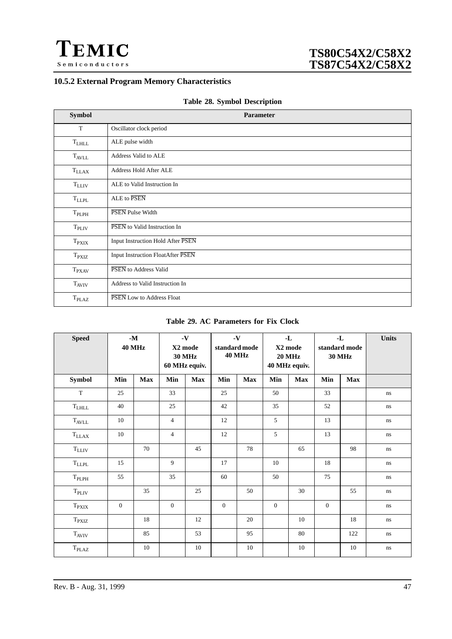<span id="page-46-0"></span>![](_page_46_Picture_0.jpeg)

## **10.5.2 External Program Memory Characteristics**

|  |  |  | Table 28. Symbol Description |
|--|--|--|------------------------------|
|--|--|--|------------------------------|

| <b>Symbol</b>     | <b>Parameter</b>                  |
|-------------------|-----------------------------------|
| T                 | Oscillator clock period           |
| $\rm T_{LHLL}$    | ALE pulse width                   |
| $T_{\rm AVLL}$    | Address Valid to ALE              |
| $T_{LLAX}$        | Address Hold After ALE            |
| $T_{LLIV}$        | ALE to Valid Instruction In       |
| $T_{LLPL}$        | ALE to PSEN                       |
| $T_{PLPH}$        | PSEN Pulse Width                  |
| T <sub>PLIV</sub> | PSEN to Valid Instruction In      |
| $T_{\rm PXIX}$    | Input Instruction Hold After PSEN |
| $T_{\rm PXIZ}$    | Input Instruction FloatAfter PSEN |
| $T_{\text{PXAV}}$ | PSEN to Address Valid             |
| $T_{AVIV}$        | Address to Valid Instruction In   |
| T <sub>PLAZ</sub> | PSEN Low to Address Float         |

### **Table 29. AC Parameters for Fix Clock**

| <b>Speed</b>      |              | $\mathbf{-M}$<br><b>40 MHz</b> |                | $\mathbf{-V}$<br>X2 mode<br><b>30 MHz</b><br>60 MHz equiv. |              | $\boldsymbol{\cdot} \mathbf{V}$<br>standard mode<br><b>40 MHz</b> |              | $\mathbf{-L}$<br>X2 mode<br><b>20 MHz</b><br>40 MHz equiv. |                | $\mathbf{L}$<br>standard mode<br><b>30 MHz</b> | <b>Units</b> |
|-------------------|--------------|--------------------------------|----------------|------------------------------------------------------------|--------------|-------------------------------------------------------------------|--------------|------------------------------------------------------------|----------------|------------------------------------------------|--------------|
| Symbol            | Min          | <b>Max</b>                     | Min            | Max                                                        | Min          | <b>Max</b>                                                        | Min          | <b>Max</b>                                                 | Min            | <b>Max</b>                                     |              |
| $\mathbf T$       | 25           |                                | 33             |                                                            | 25           |                                                                   | 50           |                                                            | 33             |                                                | ns           |
| $\rm T_{LHLL}$    | 40           |                                | 25             |                                                            | 42           |                                                                   | 35           |                                                            | 52             |                                                | ns           |
| $\rm T_{AVLL}$    | 10           |                                | $\overline{4}$ |                                                            | 12           |                                                                   | 5            |                                                            | 13             |                                                | ns           |
| $\rm T_{LLAX}$    | 10           |                                | $\overline{4}$ |                                                            | 12           |                                                                   | 5            |                                                            | 13             |                                                | ns           |
| $\rm T_{LLIV}$    |              | 70                             |                | 45                                                         |              | 78                                                                |              | 65                                                         |                | 98                                             | ns           |
| $\rm T_{LLPL}$    | 15           |                                | 9              |                                                            | 17           |                                                                   | 10           |                                                            | 18             |                                                | ns           |
| $T_{\rm PLPH}$    | 55           |                                | 35             |                                                            | 60           |                                                                   | 50           |                                                            | 75             |                                                | ns           |
| T <sub>PLIV</sub> |              | 35                             |                | 25                                                         |              | 50                                                                |              | 30                                                         |                | 55                                             | ns           |
| $T_{\rm PXIX}$    | $\mathbf{0}$ |                                | $\mathbf{0}$   |                                                            | $\mathbf{0}$ |                                                                   | $\mathbf{0}$ |                                                            | $\overline{0}$ |                                                | $\rm ns$     |
| $T_{\rm PXIZ}$    |              | 18                             |                | 12                                                         |              | 20                                                                |              | 10                                                         |                | 18                                             | ns           |
| $T_{AVIV}$        |              | 85                             |                | 53                                                         |              | 95                                                                |              | 80                                                         |                | 122                                            | ns           |
| T <sub>PLAZ</sub> |              | 10                             |                | 10                                                         |              | 10                                                                |              | 10                                                         |                | 10                                             | ns           |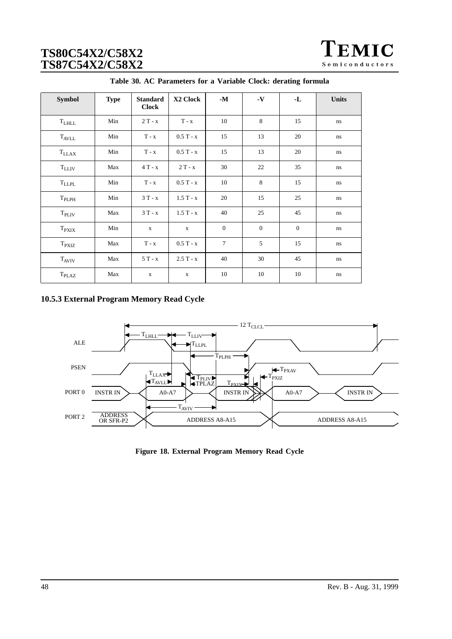| EMIC           |
|----------------|
| Semiconductors |

<span id="page-47-0"></span>

| <b>Symbol</b>     | <b>Type</b> | <b>Standard</b><br><b>Clock</b> | X2 Clock    | $-M$           | $\mathbf{-V}$  | -L             | <b>Units</b> |
|-------------------|-------------|---------------------------------|-------------|----------------|----------------|----------------|--------------|
| $T$ LHLL          | Min         | $2T - x$                        | $T - x$     | 10             | 8              | 15             | ns           |
| $T_{AVLL}$        | Min         | $T - x$                         | $0.5T - x$  | 15             | 13             | 20             | ns           |
| $T_{LLAX}$        | Min         | $T - x$                         | $0.5T - x$  | 15             | 13             | 20             | ns           |
| $T_{LLIV}$        | Max         | $4T - x$                        | $2T - x$    | 30             | 22             | 35             | ns           |
| <b>TLLPL</b>      | Min         | $T - x$                         | $0.5T - x$  | 10             | 8              | 15             | ns           |
| $T_{PLPH}$        | Min         | $3T - x$                        | $1.5T - x$  | 20             | 15             | 25             | ns           |
| T <sub>PLIV</sub> | Max         | $3T - x$                        | $1.5T - x$  | 40             | 25             | 45             | ns           |
| $T_{\rm PXIX}$    | Min         | $\mathbf x$                     | $\mathbf x$ | $\overline{0}$ | $\overline{0}$ | $\overline{0}$ | ns           |
| $T_{\text{PXIZ}}$ | Max         | $T - x$                         | $0.5T - x$  | $\tau$         | 5              | 15             | ns           |
| <b>TAVIV</b>      | Max         | $5T - x$                        | $2.5T - x$  | 40             | 30             | 45             | ns           |
| T <sub>PLAZ</sub> | Max         | $\mathbf X$                     | $\mathbf X$ | 10             | 10             | 10             | $\rm ns$     |

| Table 30. AC Parameters for a Variable Clock: derating formula |  |
|----------------------------------------------------------------|--|
|----------------------------------------------------------------|--|

## **10.5.3 External Program Memory Read Cycle**

![](_page_47_Figure_5.jpeg)

**Figure 18. External Program Memory Read Cycle**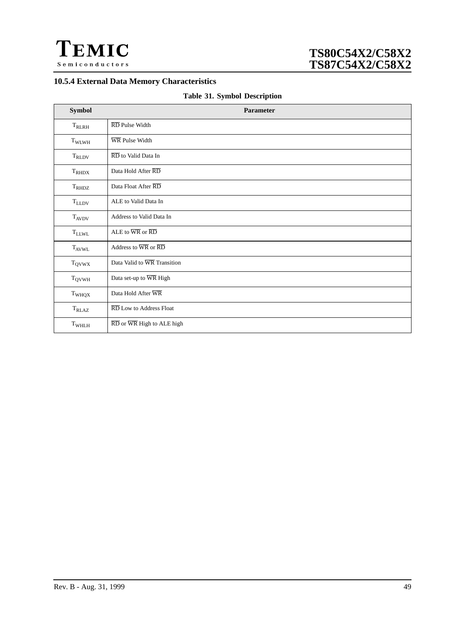<span id="page-48-0"></span>![](_page_48_Picture_0.jpeg)

## **10.5.4 External Data Memory Characteristics**

| <b>Table 31. Symbol Description</b> |  |
|-------------------------------------|--|
|-------------------------------------|--|

| Symbol            | Parameter                                                         |
|-------------------|-------------------------------------------------------------------|
| $\rm T_{RLRH}$    | $\overline{\text{RD}}$ Pulse Width                                |
| $T_{\rm WLWH}$    | WR Pulse Width                                                    |
| $T_{RLDV}$        | $\overline{\text{RD}}$ to Valid Data In                           |
| $T_{RHDX}$        | Data Hold After RD                                                |
| $T_{RHDZ}$        | Data Float After RD                                               |
| $\rm T_{LLDV}$    | ALE to Valid Data In                                              |
| $T_{AVDV}$        | Address to Valid Data In                                          |
| $\rm T_{LLWL}$    | ALE to $\overline{\text{WR}}$ or $\overline{\text{RD}}$           |
| $T_{AVWL}$        | Address to $\overline{WR}$ or $\overline{RD}$                     |
| $T_{QVWX}$        | Data Valid to WR Transition                                       |
| $T_{\rm QVWH}$    | Data set-up to WR High                                            |
| T <sub>WHQX</sub> | Data Hold After WR                                                |
| $\rm T_{RLAZ}$    | RD Low to Address Float                                           |
| T <sub>WHLH</sub> | $\overline{\text{RD}}$ or $\overline{\text{WR}}$ High to ALE high |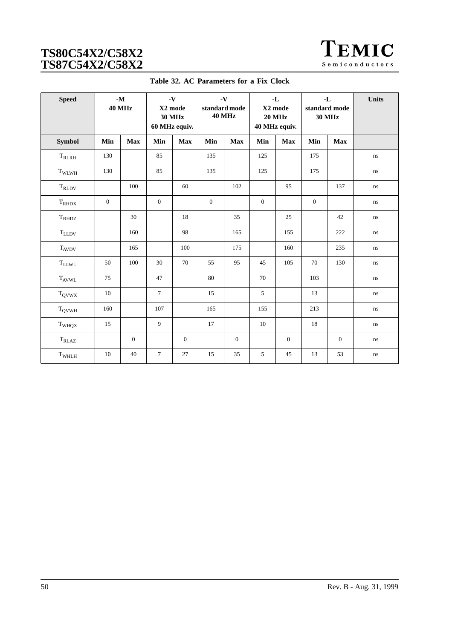| <b>TEMIC</b>   |
|----------------|
| Semiconductors |

<span id="page-49-0"></span>

| <b>Speed</b>      |                | $\mathbf{\cdot M}$<br><b>40 MHz</b> |                 | $\mathbf{-V}$<br>X2 mode<br><b>30 MHz</b><br>60 MHz equiv. | $\mathbf{-V}$<br>standard mode<br><b>40 MHz</b> |                  |              |                |              |                |          | -L<br>X2 mode<br><b>20 MHz</b><br>40 MHz equiv. |  | $-L$<br>standard mode<br><b>30 MHz</b> | <b>Units</b> |
|-------------------|----------------|-------------------------------------|-----------------|------------------------------------------------------------|-------------------------------------------------|------------------|--------------|----------------|--------------|----------------|----------|-------------------------------------------------|--|----------------------------------------|--------------|
| Symbol            | Min            | <b>Max</b>                          | Min             | <b>Max</b>                                                 | Min                                             | <b>Max</b>       | Min          | <b>Max</b>     | Min          | <b>Max</b>     |          |                                                 |  |                                        |              |
| $\rm T_{RLRH}$    | 130            |                                     | 85              |                                                            | 135                                             |                  | 125          |                | 175          |                | ns       |                                                 |  |                                        |              |
| T <sub>WLWH</sub> | 130            |                                     | 85              |                                                            | 135                                             |                  | 125          |                | 175          |                | ns       |                                                 |  |                                        |              |
| $\rm T_{RLDV}$    |                | 100                                 |                 | 60                                                         |                                                 | 102              |              | 95             |              | 137            | ns       |                                                 |  |                                        |              |
| $T_{RHDX}$        | $\overline{0}$ |                                     | $\mathbf{0}$    |                                                            | $\mathbf{0}$                                    |                  | $\mathbf{0}$ |                | $\mathbf{0}$ |                | ns       |                                                 |  |                                        |              |
| $T_{\rm RH DZ}$   |                | 30                                  |                 | 18                                                         |                                                 | 35               |              | 25             |              | 42             | $\rm ns$ |                                                 |  |                                        |              |
| $\rm T_{LLDV}$    |                | 160                                 |                 | 98                                                         |                                                 | 165              |              | 155            |              | 222            | ns       |                                                 |  |                                        |              |
| <b>TAVDV</b>      |                | 165                                 |                 | 100                                                        |                                                 | 175              |              | 160            |              | 235            | ns       |                                                 |  |                                        |              |
| $\rm T_{LLWL}$    | 50             | 100                                 | 30              | 70                                                         | 55                                              | 95               | 45           | 105            | 70           | 130            | ns       |                                                 |  |                                        |              |
| $T_{AVWL}$        | 75             |                                     | 47              |                                                            | 80                                              |                  | 70           |                | 103          |                | ns       |                                                 |  |                                        |              |
| $\rm T_{QVWX}$    | 10             |                                     | $\overline{7}$  |                                                            | 15                                              |                  | 5            |                | 13           |                | ns       |                                                 |  |                                        |              |
| $\rm T_{QVWH}$    | 160            |                                     | 107             |                                                            | 165                                             |                  | 155          |                | 213          |                | ns       |                                                 |  |                                        |              |
| $\rm T_{WHQX}$    | 15             |                                     | 9               |                                                            | 17                                              |                  | 10           |                | 18           |                | ns       |                                                 |  |                                        |              |
| $T_{RLAZ}$        |                | $\overline{0}$                      |                 | $\mathbf{0}$                                               |                                                 | $\boldsymbol{0}$ |              | $\overline{0}$ |              | $\overline{0}$ | ns       |                                                 |  |                                        |              |
| $\rm T_{WHLH}$    | 10             | 40                                  | $7\phantom{.0}$ | $27\,$                                                     | 15                                              | 35               | 5            | 45             | 13           | 53             | ns       |                                                 |  |                                        |              |

**Table 32. AC Parameters for a Fix Clock**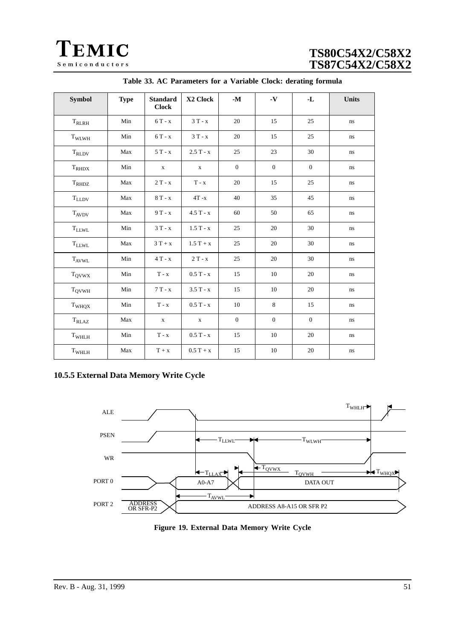<span id="page-50-0"></span>![](_page_50_Picture_0.jpeg)

| Symbol            | <b>Type</b> | <b>Standard</b><br><b>Clock</b> | X2 Clock                    | $\mathbf{-M}$ | $\mathbf{-V}$ | $\mathbf{L}$ | <b>Units</b> |
|-------------------|-------------|---------------------------------|-----------------------------|---------------|---------------|--------------|--------------|
| $\rm T_{RLRH}$    | Min         | $6T - x$                        | $3T - x$                    | 20            | 15            | 25           | $\bf ns$     |
| TWLWH             | Min         | $6T - x$                        | $3T - x$                    | 20            | 15            | 25           | $\,ns$       |
| $\rm T_{RLDV}$    | Max         | $5T - x$                        | $2.5T - x$                  | 25            | 23            | 30           | $\rm ns$     |
| $T_{RHDX}$        | Min         | $\mathbf X$                     | $\mathbf X$                 | $\mathbf{0}$  | $\mathbf{0}$  | $\mathbf{0}$ | $\rm ns$     |
| $T_{RHDZ}$        | Max         | $2T - x$                        | $\mathbf{T}$ - $\mathbf{x}$ | 20            | 15            | 25           | $\bf ns$     |
| $\rm T_{LLDV}$    | Max         | $8T - x$                        | $4T - x$                    | 40            | 35            | 45           | $\rm ns$     |
| $T_{AVDV}$        | Max         | $9T - x$                        | $4.5T - x$                  | 60            | 50            | 65           | $\rm ns$     |
| $T_{LLWL}$        | Min         | $3T - x$                        | $1.5T - x$                  | 25            | 20            | 30           | ns           |
| $T_{LLWL}$        | Max         | $3T + x$                        | $1.5T + x$                  | 25            | 20            | 30           | $\,ns$       |
| <b>TAVWL</b>      | Min         | $4T - x$                        | $2T - x$                    | 25            | 20            | 30           | $\,ns$       |
| $T_{QVWX}$        | Min         | $T - x$                         | $0.5T - x$                  | 15            | 10            | 20           | $\, \! ns$   |
| $T_{\rm QVWH}$    | Min         | $7T - x$                        | $3.5T - x$                  | 15            | 10            | 20           | $\rm ns$     |
| T <sub>WHQX</sub> | Min         | $T - x$                         | $0.5T - x$                  | 10            | 8             | 15           | $\rm ns$     |
| $T_{RLAZ}$        | Max         | $\mathbf X$                     | $\mathbf X$                 | $\mathbf{0}$  | $\mathbf{0}$  | $\mathbf{0}$ | $\rm ns$     |
| T <sub>WHLH</sub> | Min         | $T - x$                         | $0.5T - x$                  | 15            | 10            | 20           | $\rm ns$     |
| $\rm T_{WHLH}$    | Max         | $T + x$                         | $0.5 T + x$                 | 15            | 10            | 20           | $\bf ns$     |

|  |  | Table 33. AC Parameters for a Variable Clock: derating formula |  |  |  |  |  |  |
|--|--|----------------------------------------------------------------|--|--|--|--|--|--|
|--|--|----------------------------------------------------------------|--|--|--|--|--|--|

## **10.5.5 External Data Memory Write Cycle**

![](_page_50_Figure_5.jpeg)

**Figure 19. External Data Memory Write Cycle**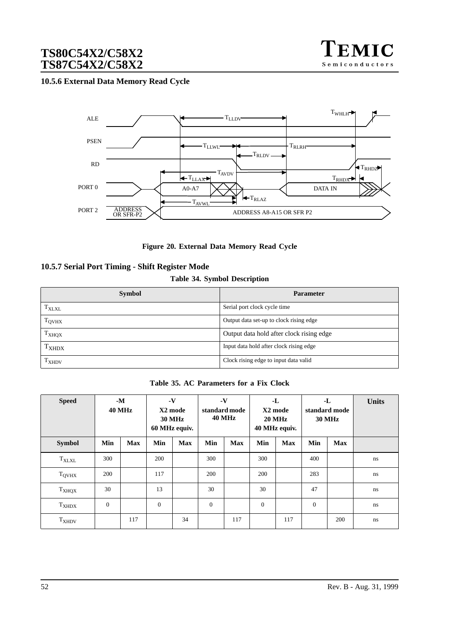![](_page_51_Picture_1.jpeg)

### <span id="page-51-0"></span>**10.5.6 External Data Memory Read Cycle**

![](_page_51_Figure_3.jpeg)

**Figure 20. External Data Memory Read Cycle**

### **10.5.7 Serial Port Timing - Shift Register Mode**

### **Table 34. Symbol Description**

| <b>Symbol</b>     | <b>Parameter</b>                         |
|-------------------|------------------------------------------|
| $T_{\text{XLXL}}$ | Serial port clock cycle time             |
| T <sub>QVHX</sub> | Output data set-up to clock rising edge  |
| T <sub>XHQX</sub> | Output data hold after clock rising edge |
| $T_{XHDX}$        | Input data hold after clock rising edge  |
| T <sub>XHDV</sub> | Clock rising edge to input data valid    |

**Table 35. AC Parameters for a Fix Clock**

| <b>Speed</b>   | $-M$<br><b>40 MHz</b> |            |          | $\mathbf{-V}$<br>X2 mode<br><b>30 MHz</b><br>60 MHz equiv. |              | $\mathbf{-V}$<br>standard mode<br><b>40 MHz</b> |              | $-L$<br>X2 mode<br><b>20 MHz</b><br>40 MHz equiv. |              | -L<br>standard mode<br><b>30 MHz</b> | <b>Units</b> |
|----------------|-----------------------|------------|----------|------------------------------------------------------------|--------------|-------------------------------------------------|--------------|---------------------------------------------------|--------------|--------------------------------------|--------------|
| <b>Symbol</b>  | Min                   | <b>Max</b> | Min      | <b>Max</b>                                                 | Min          | <b>Max</b>                                      | Min          | <b>Max</b>                                        | Min          | <b>Max</b>                           |              |
| $\rm T_{XLXL}$ | 300                   |            | 200      |                                                            | 300          |                                                 | 300          |                                                   | 400          |                                      | ns           |
| <b>TOVHX</b>   | 200                   |            | 117      |                                                            | 200          |                                                 | 200          |                                                   | 283          |                                      | ns           |
| $T_{XHQX}$     | 30                    |            | 13       |                                                            | 30           |                                                 | 30           |                                                   | 47           |                                      | ns           |
| $T_{XHDX}$     | $\mathbf{0}$          |            | $\theta$ |                                                            | $\mathbf{0}$ |                                                 | $\mathbf{0}$ |                                                   | $\mathbf{0}$ |                                      | ns           |
| $T_{XHDV}$     |                       | 117        |          | 34                                                         |              | 117                                             |              | 117                                               |              | 200                                  | ns           |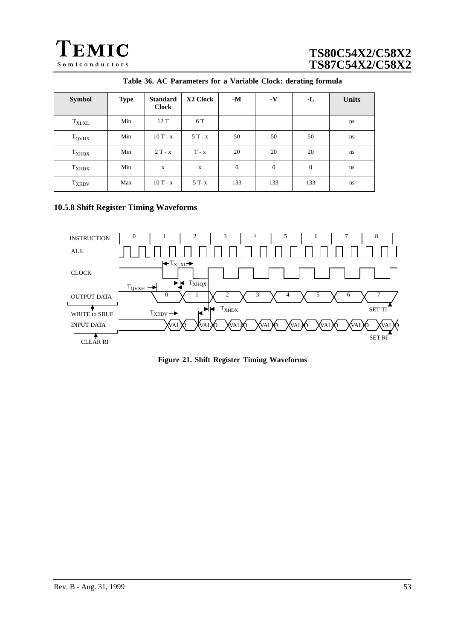<span id="page-52-0"></span>![](_page_52_Picture_0.jpeg)

| <b>Symbol</b>            | <b>Type</b> | <b>Standard</b><br><b>Clock</b> | X2 Clock    | $-M$         | $\mathbf{-V}$ | $-L$     | <b>Units</b> |
|--------------------------|-------------|---------------------------------|-------------|--------------|---------------|----------|--------------|
| <b>TXLXL</b>             | Min         | 12 T                            | 6 T         |              |               |          | ns           |
| <b>T</b> <sub>QVHX</sub> | Min         | $10T - x$                       | $5T - x$    | 50           | 50            | 50       | ns           |
| T <sub>XHQX</sub>        | Min         | $2T - x$                        | $T - x$     | 20           | 20            | 20       | ns           |
| $T_{XHDX}$               | Min         | X                               | $\mathbf X$ | $\mathbf{0}$ | $\theta$      | $\theta$ | ns           |
| $T_{XHDV}$               | Max         | $10T - x$                       | 5 T- x      | 133          | 133           | 133      | ns           |

| Table 36. AC Parameters for a Variable Clock: derating formula |  |  |  |  |  |  |
|----------------------------------------------------------------|--|--|--|--|--|--|
|----------------------------------------------------------------|--|--|--|--|--|--|

## **10.5.8 Shift Register Timing Waveforms**

![](_page_52_Figure_5.jpeg)

**Figure 21. Shift Register Timing Waveforms**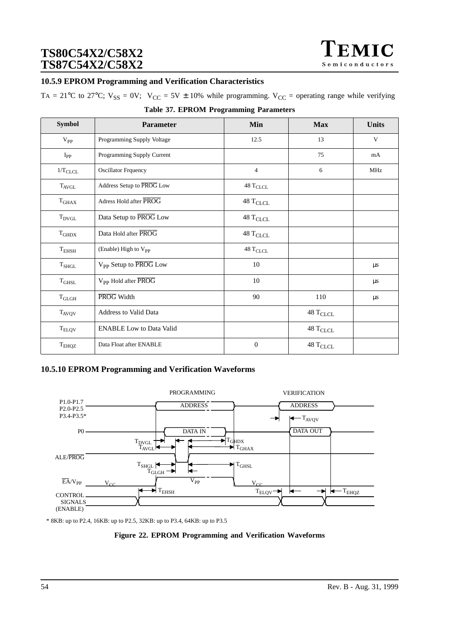### **10.5.9 EPROM Programming and Verification Characteristics**

TA = 21°C to 27°C;  $V_{SS} = 0V$ ;  $V_{CC} = 5V \pm 10\%$  while programming.  $V_{CC}$  = operating range while verifying

| <b>Symbol</b>         | <b>Parameter</b>                  | Min                              | <b>Max</b>                       | <b>Units</b> |
|-----------------------|-----------------------------------|----------------------------------|----------------------------------|--------------|
| $V_{PP}$              | Programming Supply Voltage        | 12.5                             | 13                               | V            |
| $I_{PP}$              | Programming Supply Current        |                                  | 75                               | mA           |
| $1/T$ <sub>CLCL</sub> | <b>Oscillator Frquency</b>        | $\overline{4}$                   | 6                                | <b>MHz</b>   |
| $T_{AVGL}$            | Address Setup to PROG Low         | $48\ {\rm T_{CLCL}}$             |                                  |              |
| $\rm T_{GHAX}$        | Adress Hold after PROG            | $48\,\mathrm{T}_{\mathrm{CLCL}}$ |                                  |              |
| $T_{DVGL}$            | Data Setup to PROG Low            | $48$ $\rm T_{CLCL}$              |                                  |              |
| $\rm T_{GHDX}$        | Data Hold after PROG              | $48\;\mathrm{T}_{\mathrm{CLCL}}$ |                                  |              |
| $T_{EHSH}$            | (Enable) High to V <sub>PP</sub>  | 48 T <sub>CLCL</sub>             |                                  |              |
| $\rm T_{SHGL}$        | V <sub>PP</sub> Setup to PROG Low | 10                               |                                  | $\mu s$      |
| $\rm T_{GHSL}$        | V <sub>PP</sub> Hold after PROG   | 10                               |                                  | $\mu$ s      |
| $\rm T_{GLGH}$        | PROG Width                        | 90                               | 110                              | $\mu s$      |
| $T_{AVQV}$            | <b>Address to Valid Data</b>      |                                  | $48$ $\rm T_{CLCL}$              |              |
| T <sub>ELQV</sub>     | <b>ENABLE Low to Data Valid</b>   |                                  | $48\,\mathrm{T}_{\mathrm{CLCL}}$ |              |
| T <sub>EHQZ</sub>     | Data Float after ENABLE           | $\theta$                         | $48\,\mathrm{T}_{\mathrm{CLCL}}$ |              |

### **Table 37. EPROM Programming Parameters**

### **10.5.10 EPROM Programming and Verification Waveforms**

![](_page_53_Figure_7.jpeg)

\* 8KB: up to P2.4, 16KB: up to P2.5, 32KB: up to P3.4, 64KB: up to P3.5

#### **Figure 22. EPROM Programming and Verification Waveforms**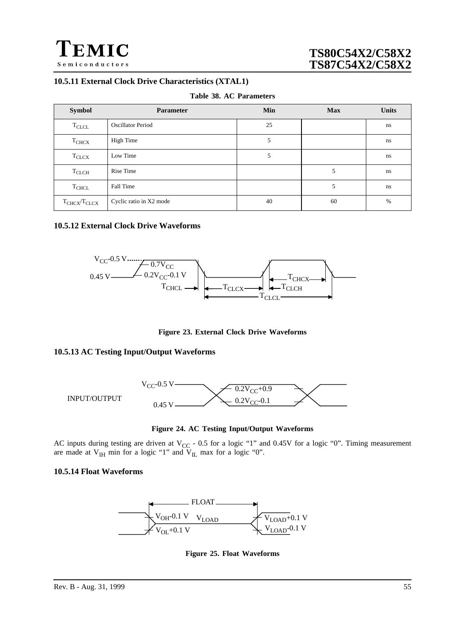![](_page_54_Picture_0.jpeg)

## **10.5.11 External Clock Drive Characteristics (XTAL1)**

|  |  |  | Table 38. AC Parameters |
|--|--|--|-------------------------|
|--|--|--|-------------------------|

| <b>Symbol</b>       | <b>Parameter</b>         | Min | <b>Max</b> | <b>Units</b> |
|---------------------|--------------------------|-----|------------|--------------|
| $T_{CLCL}$          | <b>Oscillator Period</b> | 25  |            | ns           |
| T <sub>CHCX</sub>   | High Time                | 5   |            | ns           |
| $T_{CLCX}$          | Low Time                 | 5   |            | ns           |
| $T_{CLCH}$          | Rise Time                |     | 5          | ns           |
| $T_{CHCL}$          | Fall Time                |     | 5          | ns           |
| $T_{CHCX}/T_{CLCX}$ | Cyclic ratio in X2 mode  | 40  | 60         | %            |

### **10.5.12 External Clock Drive Waveforms**

![](_page_54_Figure_6.jpeg)

**Figure 23. External Clock Drive Waveforms**

### **10.5.13 AC Testing Input/Output Waveforms**

![](_page_54_Figure_9.jpeg)

**Figure 24. AC Testing Input/Output Waveforms**

AC inputs during testing are driven at  $V_{CC}$  - 0.5 for a logic "1" and 0.45V for a logic "0". Timing measurement are made at  $V_{IH}$  min for a logic "1" and  $V_{IL}$  max for a logic "0".

### **10.5.14 Float Waveforms**

![](_page_54_Figure_13.jpeg)

**Figure 25. Float Waveforms**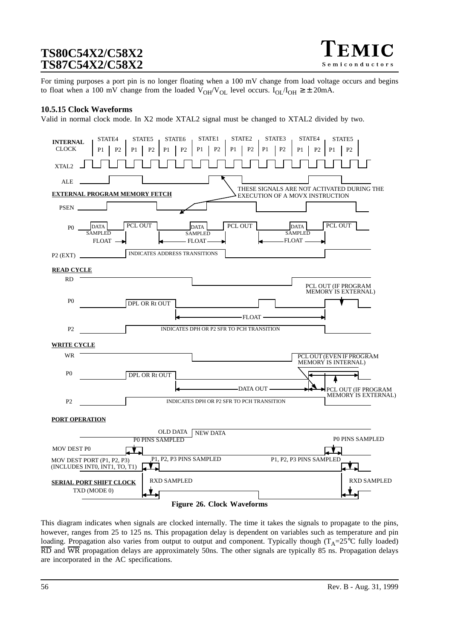![](_page_55_Picture_1.jpeg)

For timing purposes a port pin is no longer floating when a 100 mV change from load voltage occurs and begins to float when a 100 mV change from the loaded  $V_{OH}/V_{OL}$  level occurs.  $I_{OL}/I_{OH} \geq \pm 20$ mA.

#### **10.5.15 Clock Waveforms**

Valid in normal clock mode. In X2 mode XTAL2 signal must be changed to XTAL2 divided by two.

![](_page_55_Figure_5.jpeg)

This diagram indicates when signals are clocked internally. The time it takes the signals to propagate to the pins, however, ranges from 25 to 125 ns. This propagation delay is dependent on variables such as temperature and pin loading. Propagation also varies from output to output and component. Typically though ( $T_A=25^{\circ}C$  fully loaded) RD and WR propagation delays are approximately 50ns. The other signals are typically 85 ns. Propagation delays are incorporated in the AC specifications.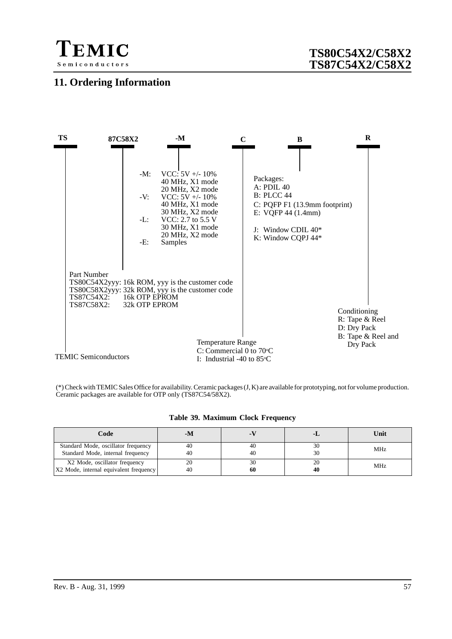![](_page_56_Picture_0.jpeg)

## **11. Ordering Information**

![](_page_56_Figure_3.jpeg)

(\*) Check with TEMIC Sales Office for availability. Ceramic packages (J, K) are available for prototyping, not for volume production. Ceramic packages are available for OTP only (TS87C54/58X2).

|  |  |  |  | Table 39. Maximum Clock Frequency |
|--|--|--|--|-----------------------------------|
|--|--|--|--|-----------------------------------|

| Code                                   | -M |    | т. | Unit       |
|----------------------------------------|----|----|----|------------|
| Standard Mode, oscillator frequency    | 40 | 40 | 30 | <b>MHz</b> |
| Standard Mode, internal frequency      | 40 | 40 | 30 |            |
| X2 Mode, oscillator frequency          | 20 | 30 | 20 | <b>MHz</b> |
| X2 Mode, internal equivalent frequency | 40 | 60 | 40 |            |